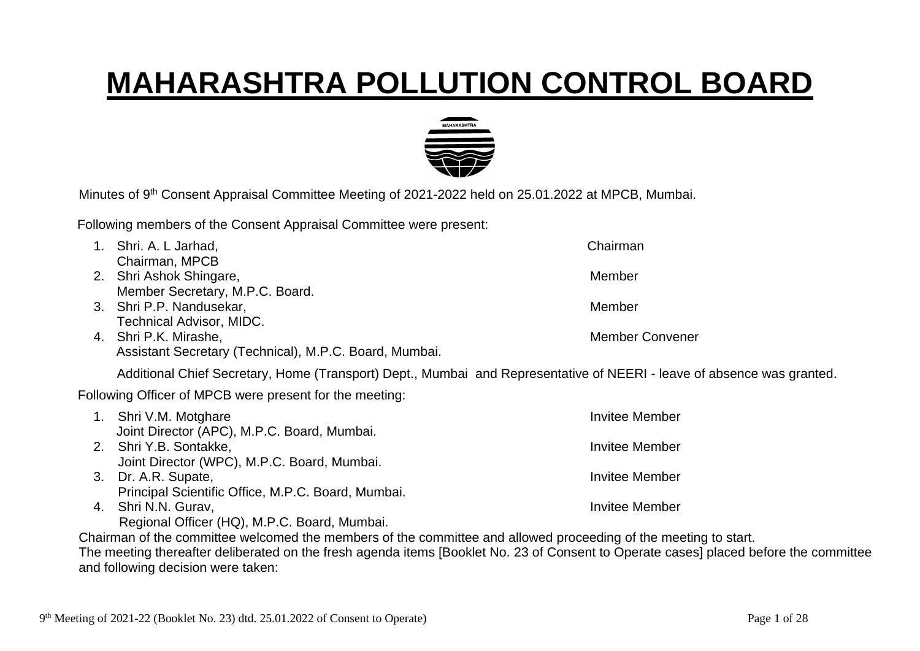## **MAHARASHTRA POLLUTION CONTROL BOARD**



Minutes of 9<sup>th</sup> Consent Appraisal Committee Meeting of 2021-2022 held on 25.01.2022 at MPCB, Mumbai.

Following members of the Consent Appraisal Committee were present:

| Shri. A. L Jarhad,                                                                                                                    | Chairman               |
|---------------------------------------------------------------------------------------------------------------------------------------|------------------------|
| Chairman, MPCB                                                                                                                        |                        |
| 2. Shri Ashok Shingare,                                                                                                               | Member                 |
| Member Secretary, M.P.C. Board.                                                                                                       |                        |
| 3. Shri P.P. Nandusekar,                                                                                                              | Member                 |
| <b>Technical Advisor, MIDC.</b>                                                                                                       |                        |
| 4. Shri P.K. Mirashe,                                                                                                                 | <b>Member Convener</b> |
| Assistant Secretary (Technical), M.P.C. Board, Mumbai.                                                                                |                        |
| Additional Chief Secretary, Home (Transport) Dept., Mumbai and Representative of NEERI - leave of absence was granted.                |                        |
| Following Officer of MPCB were present for the meeting:                                                                               |                        |
| 1. Shri V.M. Motghare                                                                                                                 | Invitee Member         |
| Joint Director (APC), M.P.C. Board, Mumbai.                                                                                           |                        |
| 2. Shri Y.B. Sontakke,                                                                                                                | <b>Invitee Member</b>  |
| Joint Director (WPC), M.P.C. Board, Mumbai.                                                                                           |                        |
| 3. Dr. A.R. Supate,                                                                                                                   | <b>Invitee Member</b>  |
| Principal Scientific Office, M.P.C. Board, Mumbai.                                                                                    |                        |
| 4. Shri N.N. Gurav,                                                                                                                   | <b>Invitee Member</b>  |
| Regional Officer (HQ), M.P.C. Board, Mumbai.                                                                                          |                        |
| Chairman of the committee welcomed the members of the committee and allowed proceeding of the meeting to start.                       |                        |
| The meeting thereafter deliberated on the fresh agenda items [Booklet No. 23 of Consent to Operate cases] placed before the committee |                        |

and following decision were taken: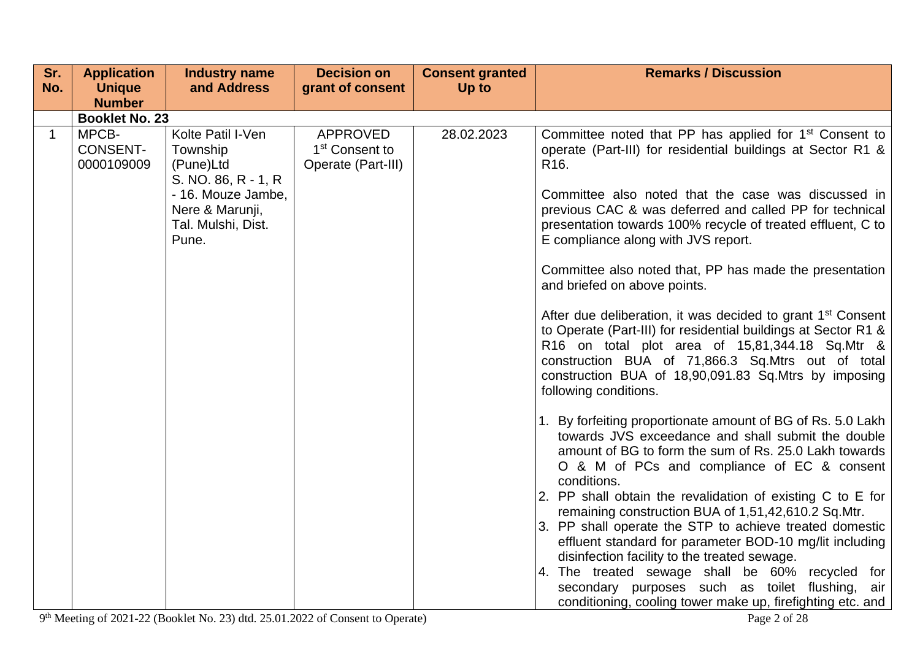| Sr.         | <b>Application</b>                                                               | <b>Industry name</b>                                                                                                                      | <b>Decision on</b>                                                  | <b>Consent granted</b> | <b>Remarks / Discussion</b>                                                                                                                                                                                                                                                                                                                                                                                                                                                                                                                                                                                                                                                                                                                                                                                                                                                                                                                                                                                                                                                                                                                                                      |
|-------------|----------------------------------------------------------------------------------|-------------------------------------------------------------------------------------------------------------------------------------------|---------------------------------------------------------------------|------------------------|----------------------------------------------------------------------------------------------------------------------------------------------------------------------------------------------------------------------------------------------------------------------------------------------------------------------------------------------------------------------------------------------------------------------------------------------------------------------------------------------------------------------------------------------------------------------------------------------------------------------------------------------------------------------------------------------------------------------------------------------------------------------------------------------------------------------------------------------------------------------------------------------------------------------------------------------------------------------------------------------------------------------------------------------------------------------------------------------------------------------------------------------------------------------------------|
| No.         | <b>Unique</b>                                                                    | and Address                                                                                                                               | grant of consent                                                    | Up to                  |                                                                                                                                                                                                                                                                                                                                                                                                                                                                                                                                                                                                                                                                                                                                                                                                                                                                                                                                                                                                                                                                                                                                                                                  |
|             |                                                                                  |                                                                                                                                           |                                                                     |                        |                                                                                                                                                                                                                                                                                                                                                                                                                                                                                                                                                                                                                                                                                                                                                                                                                                                                                                                                                                                                                                                                                                                                                                                  |
| $\mathbf 1$ | <b>Number</b><br><b>Booklet No. 23</b><br>MPCB-<br><b>CONSENT-</b><br>0000109009 | Kolte Patil I-Ven<br>Township<br>(Pune)Ltd<br>S. NO. 86, R - 1, R<br>- 16. Mouze Jambe,<br>Nere & Marunji,<br>Tal. Mulshi, Dist.<br>Pune. | <b>APPROVED</b><br>1 <sup>st</sup> Consent to<br>Operate (Part-III) | 28.02.2023             | Committee noted that PP has applied for 1 <sup>st</sup> Consent to<br>operate (Part-III) for residential buildings at Sector R1 &<br>R <sub>16</sub> .<br>Committee also noted that the case was discussed in<br>previous CAC & was deferred and called PP for technical<br>presentation towards 100% recycle of treated effluent, C to<br>E compliance along with JVS report.<br>Committee also noted that, PP has made the presentation<br>and briefed on above points.<br>After due deliberation, it was decided to grant 1 <sup>st</sup> Consent<br>to Operate (Part-III) for residential buildings at Sector R1 &<br>R16 on total plot area of 15,81,344.18 Sq.Mtr &<br>construction BUA of 71,866.3 Sq.Mtrs out of total<br>construction BUA of 18,90,091.83 Sq.Mtrs by imposing<br>following conditions.<br>1. By forfeiting proportionate amount of BG of Rs. 5.0 Lakh<br>towards JVS exceedance and shall submit the double<br>amount of BG to form the sum of Rs. 25.0 Lakh towards<br>O & M of PCs and compliance of EC & consent<br>conditions.<br>2. PP shall obtain the revalidation of existing C to E for<br>remaining construction BUA of 1,51,42,610.2 Sq.Mtr. |
|             |                                                                                  |                                                                                                                                           |                                                                     |                        | 3. PP shall operate the STP to achieve treated domestic<br>effluent standard for parameter BOD-10 mg/lit including<br>disinfection facility to the treated sewage.<br>4. The treated sewage shall be 60% recycled for<br>secondary purposes such as toilet flushing, air<br>conditioning, cooling tower make up, firefighting etc. and                                                                                                                                                                                                                                                                                                                                                                                                                                                                                                                                                                                                                                                                                                                                                                                                                                           |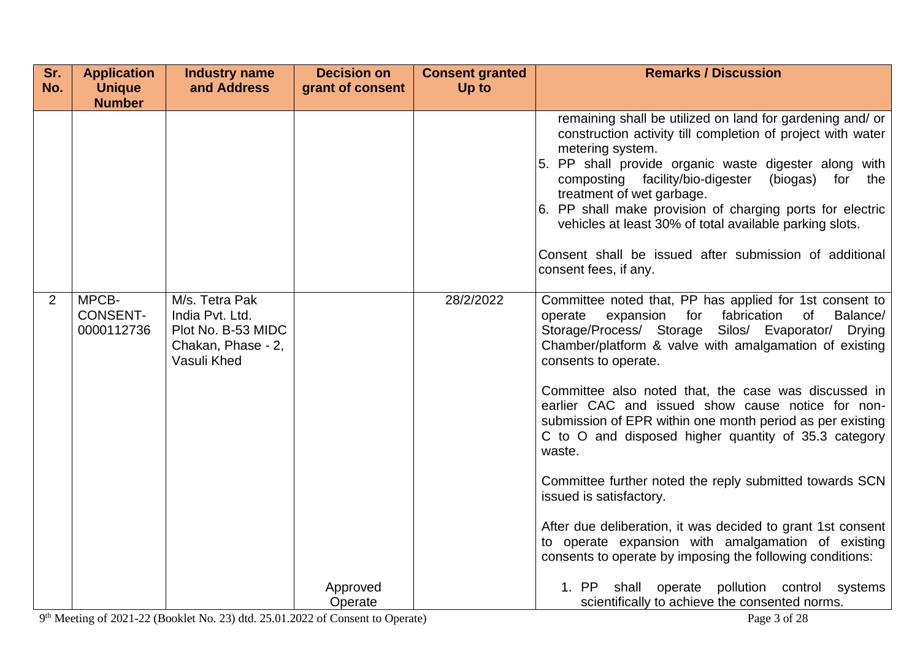| Sr.            | <b>Application</b>                     | <b>Industry name</b>                                                                         | <b>Decision on</b>  | <b>Consent granted</b> | <b>Remarks / Discussion</b>                                                                                                                                                                                                                                                                                                                                                                                                                                                                           |
|----------------|----------------------------------------|----------------------------------------------------------------------------------------------|---------------------|------------------------|-------------------------------------------------------------------------------------------------------------------------------------------------------------------------------------------------------------------------------------------------------------------------------------------------------------------------------------------------------------------------------------------------------------------------------------------------------------------------------------------------------|
| No.            | <b>Unique</b>                          | and Address                                                                                  | grant of consent    | Up to                  |                                                                                                                                                                                                                                                                                                                                                                                                                                                                                                       |
|                | <b>Number</b>                          |                                                                                              |                     |                        | remaining shall be utilized on land for gardening and/ or<br>construction activity till completion of project with water<br>metering system.<br>5. PP shall provide organic waste digester along with<br>composting facility/bio-digester<br>(biogas) for the<br>treatment of wet garbage.<br>6. PP shall make provision of charging ports for electric<br>vehicles at least 30% of total available parking slots.<br>Consent shall be issued after submission of additional<br>consent fees, if any. |
| $\overline{2}$ | MPCB-<br><b>CONSENT-</b><br>0000112736 | M/s. Tetra Pak<br>India Pvt. Ltd.<br>Plot No. B-53 MIDC<br>Chakan, Phase - 2,<br>Vasuli Khed |                     | 28/2/2022              | Committee noted that, PP has applied for 1st consent to<br>fabrication<br>Balance/<br>operate<br>expansion<br>for<br>of<br>Storage/Process/ Storage<br>Silos/ Evaporator/<br><b>Drying</b><br>Chamber/platform & valve with amalgamation of existing<br>consents to operate.<br>Committee also noted that, the case was discussed in<br>earlier CAC and issued show cause notice for non-<br>submission of EPR within one month period as per existing                                                |
|                |                                        |                                                                                              |                     |                        | C to O and disposed higher quantity of 35.3 category<br>waste.<br>Committee further noted the reply submitted towards SCN<br>issued is satisfactory.                                                                                                                                                                                                                                                                                                                                                  |
|                |                                        |                                                                                              | Approved<br>Operate |                        | After due deliberation, it was decided to grant 1st consent<br>to operate expansion with amalgamation of existing<br>consents to operate by imposing the following conditions:<br>shall operate pollution control systems<br>1. PP<br>scientifically to achieve the consented norms.                                                                                                                                                                                                                  |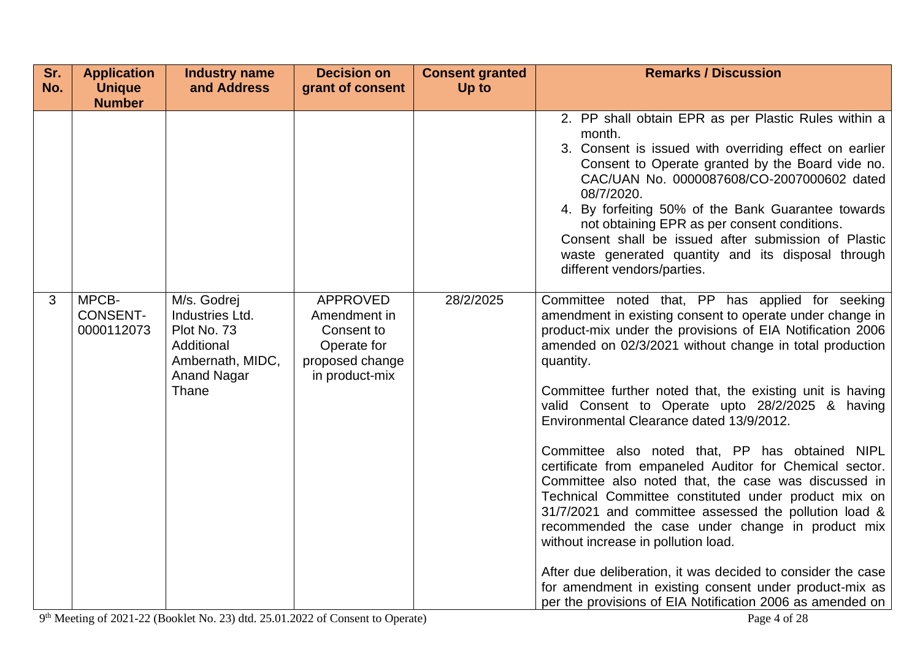| Sr. | <b>Application</b>                                      | <b>Industry name</b>                                                                                           | <b>Decision on</b>                                                                                | <b>Consent granted</b> | <b>Remarks / Discussion</b>                                                                                                                                                                                                                                                                                                                                                                                                                                                                                                                                                                                                                                                                                                                                                                                                                                                                                                                                                                                                                                                      |
|-----|---------------------------------------------------------|----------------------------------------------------------------------------------------------------------------|---------------------------------------------------------------------------------------------------|------------------------|----------------------------------------------------------------------------------------------------------------------------------------------------------------------------------------------------------------------------------------------------------------------------------------------------------------------------------------------------------------------------------------------------------------------------------------------------------------------------------------------------------------------------------------------------------------------------------------------------------------------------------------------------------------------------------------------------------------------------------------------------------------------------------------------------------------------------------------------------------------------------------------------------------------------------------------------------------------------------------------------------------------------------------------------------------------------------------|
| No. | <b>Unique</b>                                           | and Address                                                                                                    | grant of consent                                                                                  | Up to                  |                                                                                                                                                                                                                                                                                                                                                                                                                                                                                                                                                                                                                                                                                                                                                                                                                                                                                                                                                                                                                                                                                  |
| 3   | <b>Number</b><br>MPCB-<br><b>CONSENT-</b><br>0000112073 | M/s. Godrej<br>Industries Ltd.<br>Plot No. 73<br>Additional<br>Ambernath, MIDC,<br><b>Anand Nagar</b><br>Thane | <b>APPROVED</b><br>Amendment in<br>Consent to<br>Operate for<br>proposed change<br>in product-mix | 28/2/2025              | 2. PP shall obtain EPR as per Plastic Rules within a<br>month.<br>3. Consent is issued with overriding effect on earlier<br>Consent to Operate granted by the Board vide no.<br>CAC/UAN No. 0000087608/CO-2007000602 dated<br>08/7/2020.<br>4. By forfeiting 50% of the Bank Guarantee towards<br>not obtaining EPR as per consent conditions.<br>Consent shall be issued after submission of Plastic<br>waste generated quantity and its disposal through<br>different vendors/parties.<br>Committee noted that, PP has applied for seeking<br>amendment in existing consent to operate under change in<br>product-mix under the provisions of EIA Notification 2006<br>amended on 02/3/2021 without change in total production<br>quantity.<br>Committee further noted that, the existing unit is having<br>valid Consent to Operate upto 28/2/2025 & having<br>Environmental Clearance dated 13/9/2012.<br>Committee also noted that, PP has obtained NIPL<br>certificate from empaneled Auditor for Chemical sector.<br>Committee also noted that, the case was discussed in |
|     |                                                         |                                                                                                                |                                                                                                   |                        | Technical Committee constituted under product mix on<br>31/7/2021 and committee assessed the pollution load &<br>recommended the case under change in product mix<br>without increase in pollution load.<br>After due deliberation, it was decided to consider the case                                                                                                                                                                                                                                                                                                                                                                                                                                                                                                                                                                                                                                                                                                                                                                                                          |
|     |                                                         |                                                                                                                |                                                                                                   |                        | for amendment in existing consent under product-mix as<br>per the provisions of EIA Notification 2006 as amended on                                                                                                                                                                                                                                                                                                                                                                                                                                                                                                                                                                                                                                                                                                                                                                                                                                                                                                                                                              |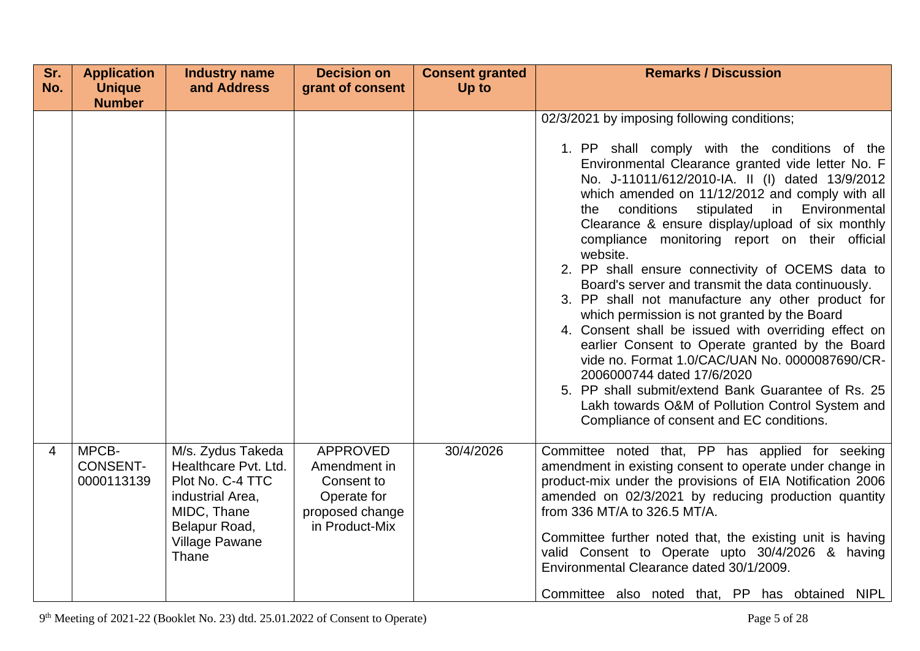| Sr. | <b>Application</b>                     | <b>Industry name</b>                                                                                                                                | <b>Decision on</b>                                                                                | <b>Consent granted</b> | <b>Remarks / Discussion</b>                                                                                                                                                                                                                                                                                                                                                                                                                                                                                                                                                                                                                                                                                                                                                                                                                                                                                                                                                                         |
|-----|----------------------------------------|-----------------------------------------------------------------------------------------------------------------------------------------------------|---------------------------------------------------------------------------------------------------|------------------------|-----------------------------------------------------------------------------------------------------------------------------------------------------------------------------------------------------------------------------------------------------------------------------------------------------------------------------------------------------------------------------------------------------------------------------------------------------------------------------------------------------------------------------------------------------------------------------------------------------------------------------------------------------------------------------------------------------------------------------------------------------------------------------------------------------------------------------------------------------------------------------------------------------------------------------------------------------------------------------------------------------|
| No. | <b>Unique</b><br><b>Number</b>         | and Address                                                                                                                                         | grant of consent                                                                                  | Up to                  |                                                                                                                                                                                                                                                                                                                                                                                                                                                                                                                                                                                                                                                                                                                                                                                                                                                                                                                                                                                                     |
|     |                                        |                                                                                                                                                     |                                                                                                   |                        | 02/3/2021 by imposing following conditions;<br>1. PP shall comply with the conditions of the<br>Environmental Clearance granted vide letter No. F<br>No. J-11011/612/2010-IA. II (I) dated 13/9/2012<br>which amended on 11/12/2012 and comply with all<br>stipulated<br>Environmental<br>conditions<br>in<br>the<br>Clearance & ensure display/upload of six monthly<br>compliance monitoring report on their official<br>website.<br>2. PP shall ensure connectivity of OCEMS data to<br>Board's server and transmit the data continuously.<br>3. PP shall not manufacture any other product for<br>which permission is not granted by the Board<br>4. Consent shall be issued with overriding effect on<br>earlier Consent to Operate granted by the Board<br>vide no. Format 1.0/CAC/UAN No. 0000087690/CR-<br>2006000744 dated 17/6/2020<br>5. PP shall submit/extend Bank Guarantee of Rs. 25<br>Lakh towards O&M of Pollution Control System and<br>Compliance of consent and EC conditions. |
| 4   | MPCB-<br><b>CONSENT-</b><br>0000113139 | M/s. Zydus Takeda<br>Healthcare Pvt. Ltd.<br>Plot No. C-4 TTC<br>industrial Area,<br>MIDC, Thane<br>Belapur Road,<br><b>Village Pawane</b><br>Thane | <b>APPROVED</b><br>Amendment in<br>Consent to<br>Operate for<br>proposed change<br>in Product-Mix | 30/4/2026              | Committee noted that, PP has applied for seeking<br>amendment in existing consent to operate under change in<br>product-mix under the provisions of EIA Notification 2006<br>amended on 02/3/2021 by reducing production quantity<br>from 336 MT/A to 326.5 MT/A.<br>Committee further noted that, the existing unit is having<br>valid Consent to Operate upto 30/4/2026 & having<br>Environmental Clearance dated 30/1/2009.<br>Committee also noted that, PP has obtained NIPL                                                                                                                                                                                                                                                                                                                                                                                                                                                                                                                   |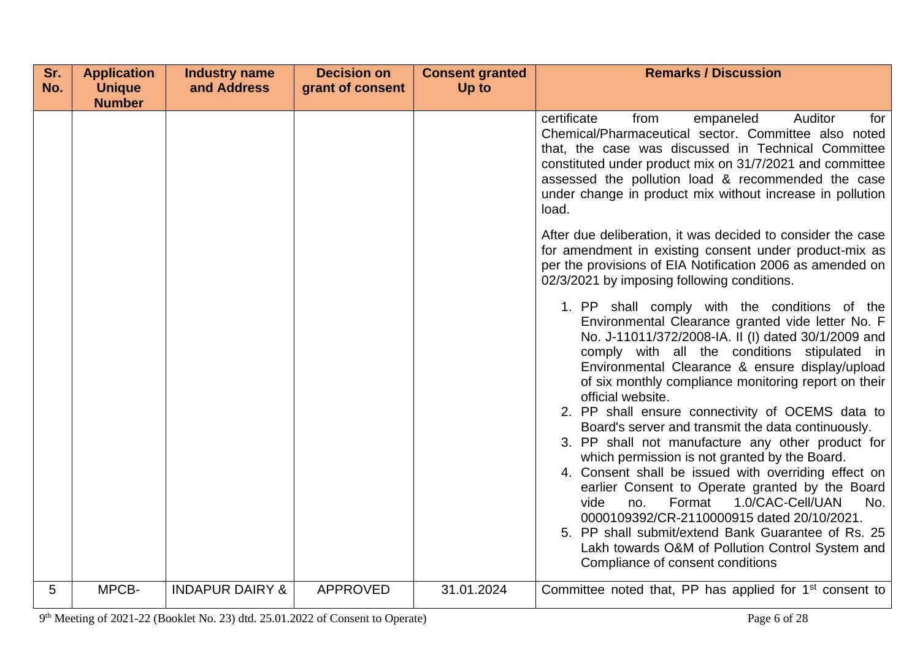| Sr. | <b>Application</b> | <b>Industry name</b>       | <b>Decision on</b> | <b>Consent granted</b> | <b>Remarks / Discussion</b>                                                                                                                                                                                                                                                                                                                                                                                                                                                                                                                                                                                                                                                                                                                                                                                                                                                      |
|-----|--------------------|----------------------------|--------------------|------------------------|----------------------------------------------------------------------------------------------------------------------------------------------------------------------------------------------------------------------------------------------------------------------------------------------------------------------------------------------------------------------------------------------------------------------------------------------------------------------------------------------------------------------------------------------------------------------------------------------------------------------------------------------------------------------------------------------------------------------------------------------------------------------------------------------------------------------------------------------------------------------------------|
| No. | <b>Unique</b>      | and Address                | grant of consent   | Up to                  |                                                                                                                                                                                                                                                                                                                                                                                                                                                                                                                                                                                                                                                                                                                                                                                                                                                                                  |
|     | <b>Number</b>      |                            |                    |                        | certificate<br><b>Auditor</b><br>from<br>empaneled<br>for<br>Chemical/Pharmaceutical sector. Committee also noted<br>that, the case was discussed in Technical Committee<br>constituted under product mix on 31/7/2021 and committee<br>assessed the pollution load & recommended the case<br>under change in product mix without increase in pollution<br>load.<br>After due deliberation, it was decided to consider the case                                                                                                                                                                                                                                                                                                                                                                                                                                                  |
|     |                    |                            |                    |                        | for amendment in existing consent under product-mix as<br>per the provisions of EIA Notification 2006 as amended on<br>02/3/2021 by imposing following conditions.                                                                                                                                                                                                                                                                                                                                                                                                                                                                                                                                                                                                                                                                                                               |
|     |                    |                            |                    |                        | 1. PP shall comply with the conditions of the<br>Environmental Clearance granted vide letter No. F<br>No. J-11011/372/2008-IA. II (I) dated 30/1/2009 and<br>comply with all the conditions stipulated in<br>Environmental Clearance & ensure display/upload<br>of six monthly compliance monitoring report on their<br>official website.<br>2. PP shall ensure connectivity of OCEMS data to<br>Board's server and transmit the data continuously.<br>3. PP shall not manufacture any other product for<br>which permission is not granted by the Board.<br>4. Consent shall be issued with overriding effect on<br>earlier Consent to Operate granted by the Board<br>1.0/CAC-Cell/UAN<br>vide<br>Format<br>No.<br>no.<br>0000109392/CR-2110000915 dated 20/10/2021.<br>5. PP shall submit/extend Bank Guarantee of Rs. 25<br>Lakh towards O&M of Pollution Control System and |
| 5   | MPCB-              | <b>INDAPUR DAIRY &amp;</b> | <b>APPROVED</b>    | 31.01.2024             | Compliance of consent conditions<br>Committee noted that, PP has applied for $1st$ consent to                                                                                                                                                                                                                                                                                                                                                                                                                                                                                                                                                                                                                                                                                                                                                                                    |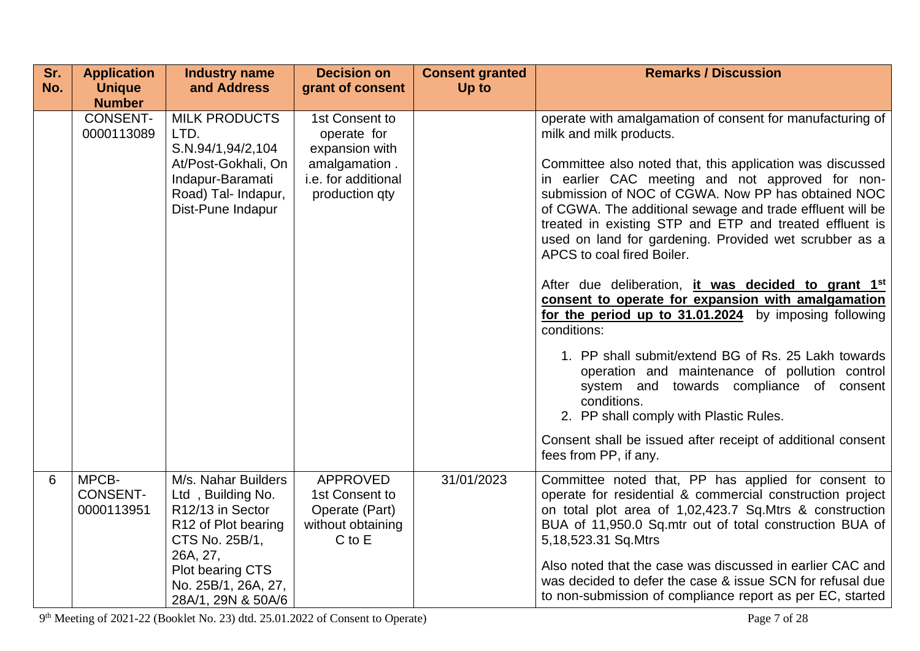| Sr.<br>No. | <b>Application</b><br><b>Unique</b><br><b>Number</b> | <b>Industry name</b><br>and Address                                                                                                                                                             | <b>Decision on</b><br>grant of consent                                                                    | <b>Consent granted</b><br>Up to | <b>Remarks / Discussion</b>                                                                                                                                                                                                                                                                                                                                                                                                                                                                                                                                                                                                                                                                                                                                                                                                                                                                                                                                                        |
|------------|------------------------------------------------------|-------------------------------------------------------------------------------------------------------------------------------------------------------------------------------------------------|-----------------------------------------------------------------------------------------------------------|---------------------------------|------------------------------------------------------------------------------------------------------------------------------------------------------------------------------------------------------------------------------------------------------------------------------------------------------------------------------------------------------------------------------------------------------------------------------------------------------------------------------------------------------------------------------------------------------------------------------------------------------------------------------------------------------------------------------------------------------------------------------------------------------------------------------------------------------------------------------------------------------------------------------------------------------------------------------------------------------------------------------------|
|            | <b>CONSENT-</b><br>0000113089                        | <b>MILK PRODUCTS</b><br>LTD.<br>S.N.94/1,94/2,104<br>At/Post-Gokhali, On<br>Indapur-Baramati<br>Road) Tal- Indapur,<br>Dist-Pune Indapur                                                        | 1st Consent to<br>operate for<br>expansion with<br>amalgamation.<br>i.e. for additional<br>production qty |                                 | operate with amalgamation of consent for manufacturing of<br>milk and milk products.<br>Committee also noted that, this application was discussed<br>in earlier CAC meeting and not approved for non-<br>submission of NOC of CGWA. Now PP has obtained NOC<br>of CGWA. The additional sewage and trade effluent will be<br>treated in existing STP and ETP and treated effluent is<br>used on land for gardening. Provided wet scrubber as a<br>APCS to coal fired Boiler.<br>After due deliberation, it was decided to grant 1 <sup>st</sup><br>consent to operate for expansion with amalgamation<br>for the period up to 31.01.2024 by imposing following<br>conditions:<br>1. PP shall submit/extend BG of Rs. 25 Lakh towards<br>operation and maintenance of pollution control<br>system and towards compliance of consent<br>conditions.<br>2. PP shall comply with Plastic Rules.<br>Consent shall be issued after receipt of additional consent<br>fees from PP, if any. |
| 6          | MPCB-<br><b>CONSENT-</b><br>0000113951               | M/s. Nahar Builders<br>Ltd, Building No.<br>R <sub>12</sub> /13 in Sector<br>R12 of Plot bearing<br>CTS No. 25B/1,<br>26A, 27,<br>Plot bearing CTS<br>No. 25B/1, 26A, 27,<br>28A/1, 29N & 50A/6 | <b>APPROVED</b><br>1st Consent to<br>Operate (Part)<br>without obtaining<br>$C$ to $E$                    | 31/01/2023                      | Committee noted that, PP has applied for consent to<br>operate for residential & commercial construction project<br>on total plot area of 1,02,423.7 Sq.Mtrs & construction<br>BUA of 11,950.0 Sq.mtr out of total construction BUA of<br>5,18,523.31 Sq.Mtrs<br>Also noted that the case was discussed in earlier CAC and<br>was decided to defer the case & issue SCN for refusal due<br>to non-submission of compliance report as per EC, started                                                                                                                                                                                                                                                                                                                                                                                                                                                                                                                               |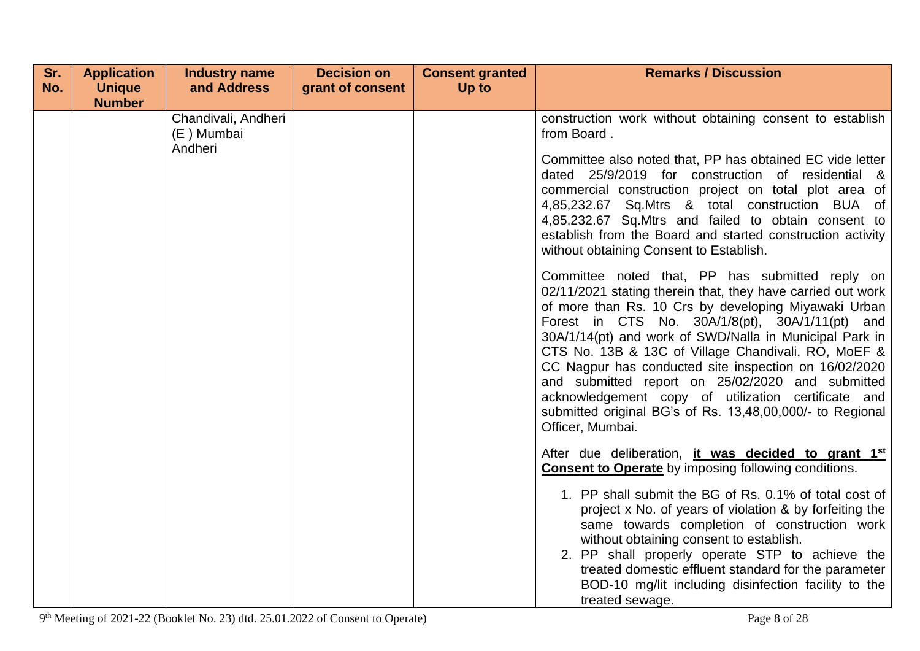| Sr. | <b>Application</b> | <b>Industry name</b>                         | <b>Decision on</b> | <b>Consent granted</b> | <b>Remarks / Discussion</b>                                                                                                                                                                                                                                                                                                                                                                                                                                                                                                                                                                                                                 |
|-----|--------------------|----------------------------------------------|--------------------|------------------------|---------------------------------------------------------------------------------------------------------------------------------------------------------------------------------------------------------------------------------------------------------------------------------------------------------------------------------------------------------------------------------------------------------------------------------------------------------------------------------------------------------------------------------------------------------------------------------------------------------------------------------------------|
| No. | <b>Unique</b>      | and Address                                  | grant of consent   | Up to                  |                                                                                                                                                                                                                                                                                                                                                                                                                                                                                                                                                                                                                                             |
|     | <b>Number</b>      |                                              |                    |                        |                                                                                                                                                                                                                                                                                                                                                                                                                                                                                                                                                                                                                                             |
|     |                    | Chandivali, Andheri<br>(E) Mumbai<br>Andheri |                    |                        | construction work without obtaining consent to establish<br>from Board.<br>Committee also noted that, PP has obtained EC vide letter<br>dated 25/9/2019 for construction of residential &<br>commercial construction project on total plot area of<br>4,85,232.67 Sq.Mtrs & total construction BUA of<br>4,85,232.67 Sq.Mtrs and failed to obtain consent to<br>establish from the Board and started construction activity                                                                                                                                                                                                                  |
|     |                    |                                              |                    |                        | without obtaining Consent to Establish.<br>Committee noted that, PP has submitted reply on<br>02/11/2021 stating therein that, they have carried out work<br>of more than Rs. 10 Crs by developing Miyawaki Urban<br>Forest in CTS No. 30A/1/8(pt), 30A/1/11(pt) and<br>30A/1/14(pt) and work of SWD/Nalla in Municipal Park in<br>CTS No. 13B & 13C of Village Chandivali. RO, MoEF &<br>CC Nagpur has conducted site inspection on 16/02/2020<br>and submitted report on 25/02/2020 and submitted<br>acknowledgement copy of utilization certificate and<br>submitted original BG's of Rs. 13,48,00,000/- to Regional<br>Officer, Mumbai. |
|     |                    |                                              |                    |                        | After due deliberation, it was decided to grant 1st<br><b>Consent to Operate</b> by imposing following conditions.<br>1. PP shall submit the BG of Rs. 0.1% of total cost of<br>project x No. of years of violation & by forfeiting the<br>same towards completion of construction work<br>without obtaining consent to establish.<br>2. PP shall properly operate STP to achieve the<br>treated domestic effluent standard for the parameter<br>BOD-10 mg/lit including disinfection facility to the<br>treated sewage.                                                                                                                    |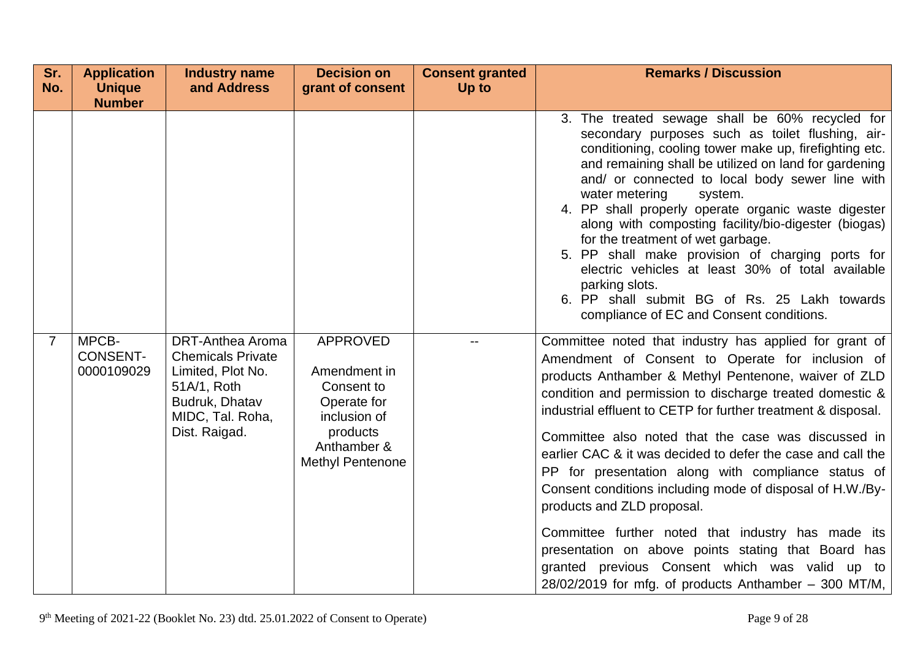| Sr.<br>No.     | <b>Application</b><br><b>Unique</b><br><b>Number</b> | <b>Industry name</b><br>and Address                                                     | <b>Decision on</b><br>grant of consent                                            | <b>Consent granted</b><br>Up to | <b>Remarks / Discussion</b>                                                                                                                                                                                                                                                                                                                                                                                                                                                                                                                                                                                                                                                                                                                                                                                                                             |
|----------------|------------------------------------------------------|-----------------------------------------------------------------------------------------|-----------------------------------------------------------------------------------|---------------------------------|---------------------------------------------------------------------------------------------------------------------------------------------------------------------------------------------------------------------------------------------------------------------------------------------------------------------------------------------------------------------------------------------------------------------------------------------------------------------------------------------------------------------------------------------------------------------------------------------------------------------------------------------------------------------------------------------------------------------------------------------------------------------------------------------------------------------------------------------------------|
| $\overline{7}$ | MPCB-<br><b>CONSENT-</b><br>0000109029               | <b>DRT-Anthea Aroma</b><br><b>Chemicals Private</b><br>Limited, Plot No.<br>51A/1, Roth | <b>APPROVED</b><br>Amendment in<br>Consent to                                     |                                 | 3. The treated sewage shall be 60% recycled for<br>secondary purposes such as toilet flushing, air-<br>conditioning, cooling tower make up, firefighting etc.<br>and remaining shall be utilized on land for gardening<br>and/ or connected to local body sewer line with<br>water metering<br>system.<br>4. PP shall properly operate organic waste digester<br>along with composting facility/bio-digester (biogas)<br>for the treatment of wet garbage.<br>5. PP shall make provision of charging ports for<br>electric vehicles at least 30% of total available<br>parking slots.<br>6. PP shall submit BG of Rs. 25 Lakh towards<br>compliance of EC and Consent conditions.<br>Committee noted that industry has applied for grant of<br>Amendment of Consent to Operate for inclusion of<br>products Anthamber & Methyl Pentenone, waiver of ZLD |
|                |                                                      | Budruk, Dhatav<br>MIDC, Tal. Roha,<br>Dist. Raigad.                                     | Operate for<br>inclusion of<br>products<br>Anthamber &<br><b>Methyl Pentenone</b> |                                 | condition and permission to discharge treated domestic &<br>industrial effluent to CETP for further treatment & disposal.<br>Committee also noted that the case was discussed in<br>earlier CAC & it was decided to defer the case and call the<br>PP for presentation along with compliance status of<br>Consent conditions including mode of disposal of H.W./By-<br>products and ZLD proposal.<br>Committee further noted that industry has made its<br>presentation on above points stating that Board has<br>granted previous Consent which was valid up to<br>$28/02/2019$ for mfg. of products Anthamber - 300 MT/M,                                                                                                                                                                                                                             |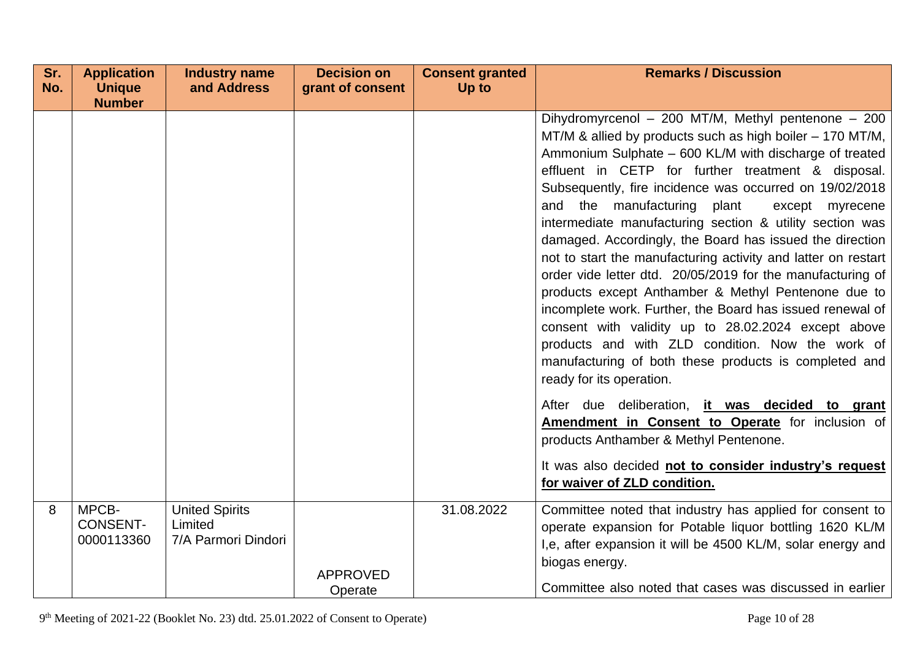| Sr. | <b>Application</b>                     | <b>Industry name</b>                                    | <b>Decision on</b> | <b>Consent granted</b> | <b>Remarks / Discussion</b>                                                                                                                                                                                                                                                                                                                                                                                                                                                                                                                                                                                                                                                                                                                                                                                                                                                                                             |
|-----|----------------------------------------|---------------------------------------------------------|--------------------|------------------------|-------------------------------------------------------------------------------------------------------------------------------------------------------------------------------------------------------------------------------------------------------------------------------------------------------------------------------------------------------------------------------------------------------------------------------------------------------------------------------------------------------------------------------------------------------------------------------------------------------------------------------------------------------------------------------------------------------------------------------------------------------------------------------------------------------------------------------------------------------------------------------------------------------------------------|
| No. | <b>Unique</b>                          | and Address                                             | grant of consent   | Up to                  |                                                                                                                                                                                                                                                                                                                                                                                                                                                                                                                                                                                                                                                                                                                                                                                                                                                                                                                         |
|     | <b>Number</b>                          |                                                         |                    |                        | Dihydromyrcenol - 200 MT/M, Methyl pentenone - 200<br>MT/M & allied by products such as high boiler – 170 MT/M,<br>Ammonium Sulphate - 600 KL/M with discharge of treated<br>effluent in CETP for further treatment & disposal.<br>Subsequently, fire incidence was occurred on 19/02/2018<br>and the manufacturing plant<br>except myrecene<br>intermediate manufacturing section & utility section was<br>damaged. Accordingly, the Board has issued the direction<br>not to start the manufacturing activity and latter on restart<br>order vide letter dtd. 20/05/2019 for the manufacturing of<br>products except Anthamber & Methyl Pentenone due to<br>incomplete work. Further, the Board has issued renewal of<br>consent with validity up to 28.02.2024 except above<br>products and with ZLD condition. Now the work of<br>manufacturing of both these products is completed and<br>ready for its operation. |
|     |                                        |                                                         |                    |                        | After due deliberation, it was decided to grant<br>Amendment in Consent to Operate for inclusion of<br>products Anthamber & Methyl Pentenone.                                                                                                                                                                                                                                                                                                                                                                                                                                                                                                                                                                                                                                                                                                                                                                           |
|     |                                        |                                                         |                    |                        | It was also decided not to consider industry's request<br>for waiver of ZLD condition.                                                                                                                                                                                                                                                                                                                                                                                                                                                                                                                                                                                                                                                                                                                                                                                                                                  |
| 8   | MPCB-<br><b>CONSENT-</b><br>0000113360 | <b>United Spirits</b><br>Limited<br>7/A Parmori Dindori | <b>APPROVED</b>    | 31.08.2022             | Committee noted that industry has applied for consent to<br>operate expansion for Potable liquor bottling 1620 KL/M<br>I,e, after expansion it will be 4500 KL/M, solar energy and<br>biogas energy.                                                                                                                                                                                                                                                                                                                                                                                                                                                                                                                                                                                                                                                                                                                    |
|     |                                        |                                                         | Operate            |                        | Committee also noted that cases was discussed in earlier                                                                                                                                                                                                                                                                                                                                                                                                                                                                                                                                                                                                                                                                                                                                                                                                                                                                |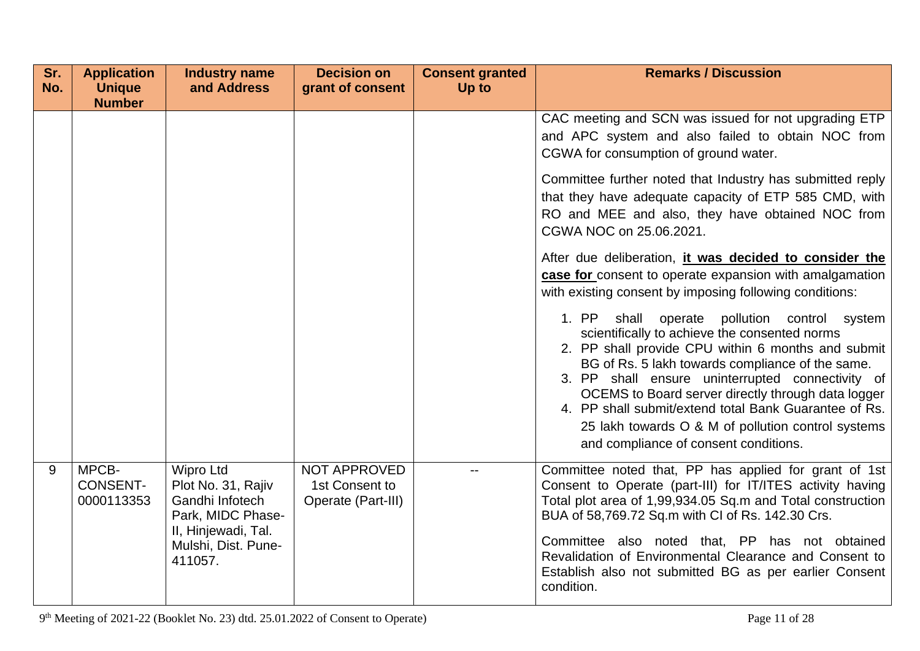| Sr.<br>No. | <b>Application</b><br><b>Unique</b>    | <b>Industry name</b><br>and Address                                                                                                     | <b>Decision on</b><br>grant of consent               | <b>Consent granted</b><br>Up to | <b>Remarks / Discussion</b>                                                                                                                                                                                                                                                                                                                                                                                                                                                        |
|------------|----------------------------------------|-----------------------------------------------------------------------------------------------------------------------------------------|------------------------------------------------------|---------------------------------|------------------------------------------------------------------------------------------------------------------------------------------------------------------------------------------------------------------------------------------------------------------------------------------------------------------------------------------------------------------------------------------------------------------------------------------------------------------------------------|
|            | <b>Number</b>                          |                                                                                                                                         |                                                      |                                 |                                                                                                                                                                                                                                                                                                                                                                                                                                                                                    |
|            |                                        |                                                                                                                                         |                                                      |                                 | CAC meeting and SCN was issued for not upgrading ETP<br>and APC system and also failed to obtain NOC from<br>CGWA for consumption of ground water.<br>Committee further noted that Industry has submitted reply                                                                                                                                                                                                                                                                    |
|            |                                        |                                                                                                                                         |                                                      |                                 | that they have adequate capacity of ETP 585 CMD, with<br>RO and MEE and also, they have obtained NOC from<br>CGWA NOC on 25.06.2021.                                                                                                                                                                                                                                                                                                                                               |
|            |                                        |                                                                                                                                         |                                                      |                                 | After due deliberation, it was decided to consider the<br>case for consent to operate expansion with amalgamation<br>with existing consent by imposing following conditions:                                                                                                                                                                                                                                                                                                       |
|            |                                        |                                                                                                                                         |                                                      |                                 | 1. PP<br>shall operate<br>pollution control<br>system<br>scientifically to achieve the consented norms<br>2. PP shall provide CPU within 6 months and submit<br>BG of Rs. 5 lakh towards compliance of the same.<br>3. PP shall ensure uninterrupted connectivity of<br>OCEMS to Board server directly through data logger<br>4. PP shall submit/extend total Bank Guarantee of Rs.<br>25 lakh towards O & M of pollution control systems<br>and compliance of consent conditions. |
| 9          | MPCB-<br><b>CONSENT-</b><br>0000113353 | <b>Wipro Ltd</b><br>Plot No. 31, Rajiv<br>Gandhi Infotech<br>Park, MIDC Phase-<br>II, Hinjewadi, Tal.<br>Mulshi, Dist. Pune-<br>411057. | NOT APPROVED<br>1st Consent to<br>Operate (Part-III) | $- -$                           | Committee noted that, PP has applied for grant of 1st<br>Consent to Operate (part-III) for IT/ITES activity having<br>Total plot area of 1,99,934.05 Sq.m and Total construction<br>BUA of 58,769.72 Sq.m with CI of Rs. 142.30 Crs.<br>Committee also noted that, PP has not obtained<br>Revalidation of Environmental Clearance and Consent to<br>Establish also not submitted BG as per earlier Consent<br>condition.                                                           |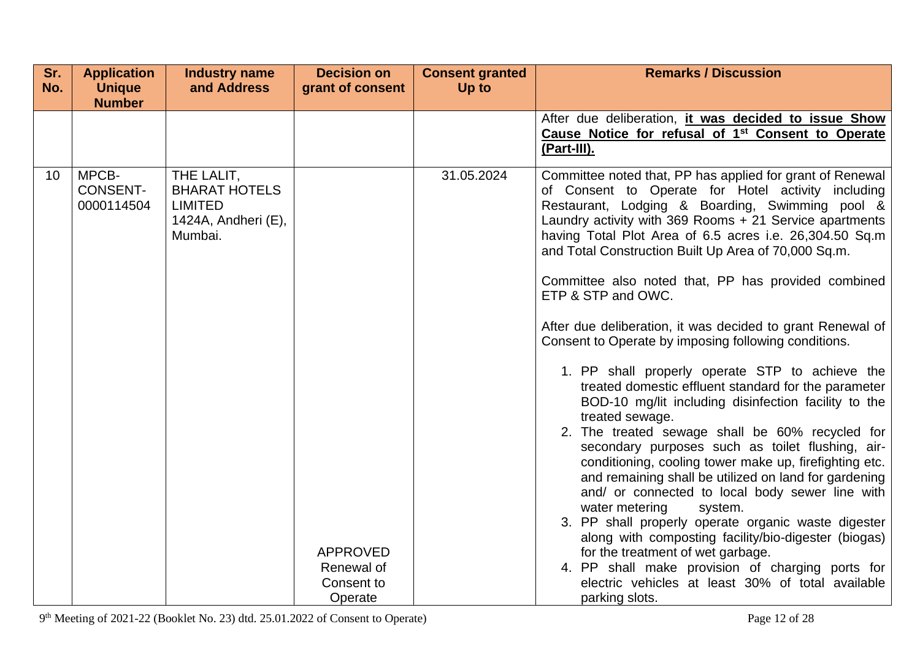| Sr.<br>No.      | <b>Application</b><br><b>Unique</b>    | <b>Industry name</b><br>and Address                                                    | <b>Decision on</b><br>grant of consent | <b>Consent granted</b><br>Up to | <b>Remarks / Discussion</b>                                                                                                                                                                                                                                                                                                                                                                                                                                                                                                                                                                                                                                                                                                                                                                                                                                                                                                                                                                                                                                                                                                                                                                                                                                 |
|-----------------|----------------------------------------|----------------------------------------------------------------------------------------|----------------------------------------|---------------------------------|-------------------------------------------------------------------------------------------------------------------------------------------------------------------------------------------------------------------------------------------------------------------------------------------------------------------------------------------------------------------------------------------------------------------------------------------------------------------------------------------------------------------------------------------------------------------------------------------------------------------------------------------------------------------------------------------------------------------------------------------------------------------------------------------------------------------------------------------------------------------------------------------------------------------------------------------------------------------------------------------------------------------------------------------------------------------------------------------------------------------------------------------------------------------------------------------------------------------------------------------------------------|
|                 | <b>Number</b>                          |                                                                                        |                                        |                                 |                                                                                                                                                                                                                                                                                                                                                                                                                                                                                                                                                                                                                                                                                                                                                                                                                                                                                                                                                                                                                                                                                                                                                                                                                                                             |
|                 |                                        |                                                                                        |                                        |                                 | After due deliberation, it was decided to issue Show<br>Cause Notice for refusal of 1 <sup>st</sup> Consent to Operate<br>(Part-III).                                                                                                                                                                                                                                                                                                                                                                                                                                                                                                                                                                                                                                                                                                                                                                                                                                                                                                                                                                                                                                                                                                                       |
| 10 <sup>°</sup> | MPCB-<br><b>CONSENT-</b><br>0000114504 | THE LALIT,<br><b>BHARAT HOTELS</b><br><b>LIMITED</b><br>1424A, Andheri (E),<br>Mumbai. | <b>APPROVED</b><br>Renewal of          | 31.05.2024                      | Committee noted that, PP has applied for grant of Renewal<br>of Consent to Operate for Hotel activity including<br>Restaurant, Lodging & Boarding, Swimming pool &<br>Laundry activity with 369 Rooms + 21 Service apartments<br>having Total Plot Area of 6.5 acres i.e. 26,304.50 Sq.m<br>and Total Construction Built Up Area of 70,000 Sq.m.<br>Committee also noted that, PP has provided combined<br>ETP & STP and OWC.<br>After due deliberation, it was decided to grant Renewal of<br>Consent to Operate by imposing following conditions.<br>1. PP shall properly operate STP to achieve the<br>treated domestic effluent standard for the parameter<br>BOD-10 mg/lit including disinfection facility to the<br>treated sewage.<br>2. The treated sewage shall be 60% recycled for<br>secondary purposes such as toilet flushing, air-<br>conditioning, cooling tower make up, firefighting etc.<br>and remaining shall be utilized on land for gardening<br>and/ or connected to local body sewer line with<br>water metering<br>system.<br>3. PP shall properly operate organic waste digester<br>along with composting facility/bio-digester (biogas)<br>for the treatment of wet garbage.<br>4. PP shall make provision of charging ports for |
|                 |                                        |                                                                                        | Consent to<br>Operate                  |                                 | electric vehicles at least 30% of total available<br>parking slots.                                                                                                                                                                                                                                                                                                                                                                                                                                                                                                                                                                                                                                                                                                                                                                                                                                                                                                                                                                                                                                                                                                                                                                                         |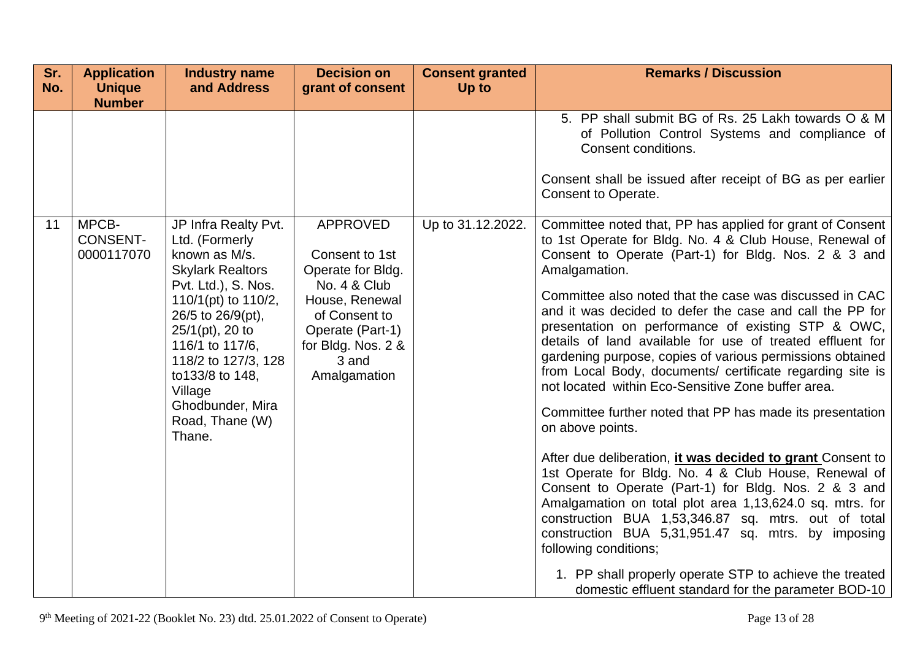| Sr.<br>No. | <b>Application</b><br><b>Unique</b>    | <b>Industry name</b><br>and Address                                                                                                                                                                                                                                                                      | <b>Decision on</b><br>grant of consent                                                                                                                                       | <b>Consent granted</b><br>Up to | <b>Remarks / Discussion</b>                                                                                                                                                                                                                                                                                                                                                                                                                                                                                                                                                                                                                                                                                                                                                                                                                                                                                                                                                                                                                                                                                                                                                                                       |
|------------|----------------------------------------|----------------------------------------------------------------------------------------------------------------------------------------------------------------------------------------------------------------------------------------------------------------------------------------------------------|------------------------------------------------------------------------------------------------------------------------------------------------------------------------------|---------------------------------|-------------------------------------------------------------------------------------------------------------------------------------------------------------------------------------------------------------------------------------------------------------------------------------------------------------------------------------------------------------------------------------------------------------------------------------------------------------------------------------------------------------------------------------------------------------------------------------------------------------------------------------------------------------------------------------------------------------------------------------------------------------------------------------------------------------------------------------------------------------------------------------------------------------------------------------------------------------------------------------------------------------------------------------------------------------------------------------------------------------------------------------------------------------------------------------------------------------------|
|            | <b>Number</b>                          |                                                                                                                                                                                                                                                                                                          |                                                                                                                                                                              |                                 | 5. PP shall submit BG of Rs. 25 Lakh towards O & M<br>of Pollution Control Systems and compliance of<br>Consent conditions.<br>Consent shall be issued after receipt of BG as per earlier<br>Consent to Operate.                                                                                                                                                                                                                                                                                                                                                                                                                                                                                                                                                                                                                                                                                                                                                                                                                                                                                                                                                                                                  |
| 11         | MPCB-<br><b>CONSENT-</b><br>0000117070 | JP Infra Realty Pvt.<br>Ltd. (Formerly<br>known as M/s.<br><b>Skylark Realtors</b><br>Pvt. Ltd.), S. Nos.<br>110/1(pt) to $110/2$ ,<br>26/5 to 26/9(pt),<br>$25/1(pt)$ , 20 to<br>116/1 to 117/6,<br>118/2 to 127/3, 128<br>to 133/8 to 148,<br>Village<br>Ghodbunder, Mira<br>Road, Thane (W)<br>Thane. | <b>APPROVED</b><br>Consent to 1st<br>Operate for Bldg.<br>No. 4 & Club<br>House, Renewal<br>of Consent to<br>Operate (Part-1)<br>for Bldg. Nos. 2 &<br>3 and<br>Amalgamation | Up to 31.12.2022.               | Committee noted that, PP has applied for grant of Consent<br>to 1st Operate for Bldg. No. 4 & Club House, Renewal of<br>Consent to Operate (Part-1) for Bldg. Nos. 2 & 3 and<br>Amalgamation.<br>Committee also noted that the case was discussed in CAC<br>and it was decided to defer the case and call the PP for<br>presentation on performance of existing STP & OWC,<br>details of land available for use of treated effluent for<br>gardening purpose, copies of various permissions obtained<br>from Local Body, documents/ certificate regarding site is<br>not located within Eco-Sensitive Zone buffer area.<br>Committee further noted that PP has made its presentation<br>on above points.<br>After due deliberation, <i>it was decided to grant Consent to</i><br>1st Operate for Bldg. No. 4 & Club House, Renewal of<br>Consent to Operate (Part-1) for Bldg. Nos. 2 & 3 and<br>Amalgamation on total plot area 1,13,624.0 sq. mtrs. for<br>construction BUA 1,53,346.87 sq. mtrs. out of total<br>construction BUA 5,31,951.47 sq. mtrs. by imposing<br>following conditions;<br>1. PP shall properly operate STP to achieve the treated<br>domestic effluent standard for the parameter BOD-10 |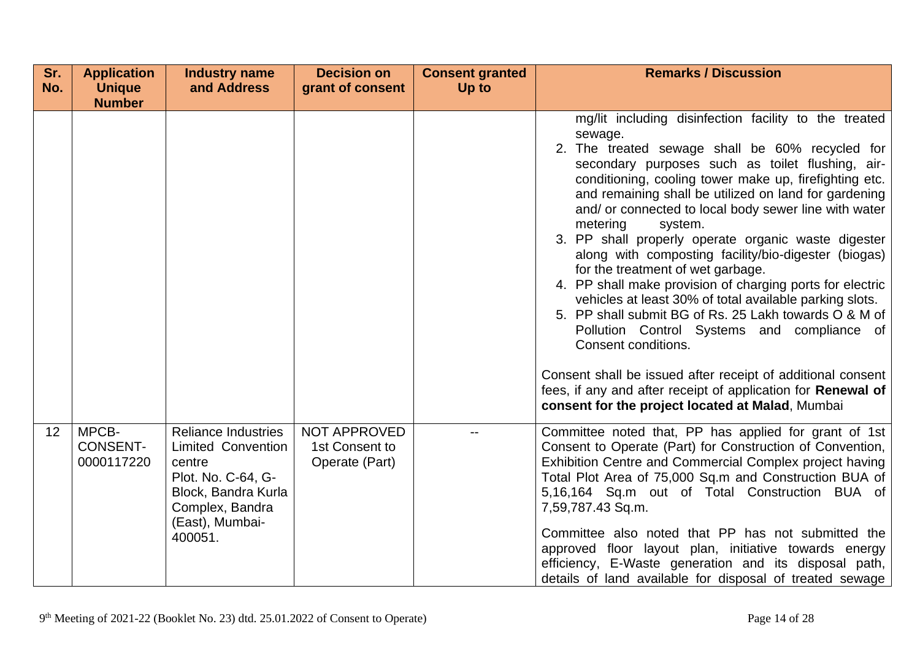| Sr. | <b>Application</b>                     | <b>Industry name</b>                                                                                                                                            | <b>Decision on</b>                               | <b>Consent granted</b> | <b>Remarks / Discussion</b>                                                                                                                                                                                                                                                                                                                                                                                                                                                                                                                                                                                                                                                                                                                                                                                                                                                                                                 |
|-----|----------------------------------------|-----------------------------------------------------------------------------------------------------------------------------------------------------------------|--------------------------------------------------|------------------------|-----------------------------------------------------------------------------------------------------------------------------------------------------------------------------------------------------------------------------------------------------------------------------------------------------------------------------------------------------------------------------------------------------------------------------------------------------------------------------------------------------------------------------------------------------------------------------------------------------------------------------------------------------------------------------------------------------------------------------------------------------------------------------------------------------------------------------------------------------------------------------------------------------------------------------|
| No. | <b>Unique</b>                          | and Address                                                                                                                                                     | grant of consent                                 | Up to                  |                                                                                                                                                                                                                                                                                                                                                                                                                                                                                                                                                                                                                                                                                                                                                                                                                                                                                                                             |
|     | <b>Number</b>                          |                                                                                                                                                                 |                                                  |                        | mg/lit including disinfection facility to the treated<br>sewage.<br>2. The treated sewage shall be 60% recycled for<br>secondary purposes such as toilet flushing, air-<br>conditioning, cooling tower make up, firefighting etc.<br>and remaining shall be utilized on land for gardening<br>and/ or connected to local body sewer line with water<br>metering<br>system.<br>3. PP shall properly operate organic waste digester<br>along with composting facility/bio-digester (biogas)<br>for the treatment of wet garbage.<br>4. PP shall make provision of charging ports for electric<br>vehicles at least 30% of total available parking slots.<br>5. PP shall submit BG of Rs. 25 Lakh towards O & M of<br>Pollution Control Systems and compliance of<br>Consent conditions.<br>Consent shall be issued after receipt of additional consent<br>fees, if any and after receipt of application for <b>Renewal of</b> |
| 12  | MPCB-<br><b>CONSENT-</b><br>0000117220 | <b>Reliance Industries</b><br><b>Limited Convention</b><br>centre<br>Plot. No. C-64, G-<br>Block, Bandra Kurla<br>Complex, Bandra<br>(East), Mumbai-<br>400051. | NOT APPROVED<br>1st Consent to<br>Operate (Part) |                        | consent for the project located at Malad, Mumbai<br>Committee noted that, PP has applied for grant of 1st<br>Consent to Operate (Part) for Construction of Convention,<br>Exhibition Centre and Commercial Complex project having<br>Total Plot Area of 75,000 Sq.m and Construction BUA of<br>5,16,164 Sq.m out of Total Construction BUA of<br>7,59,787.43 Sq.m.<br>Committee also noted that PP has not submitted the<br>approved floor layout plan, initiative towards energy<br>efficiency, E-Waste generation and its disposal path,<br>details of land available for disposal of treated sewage                                                                                                                                                                                                                                                                                                                      |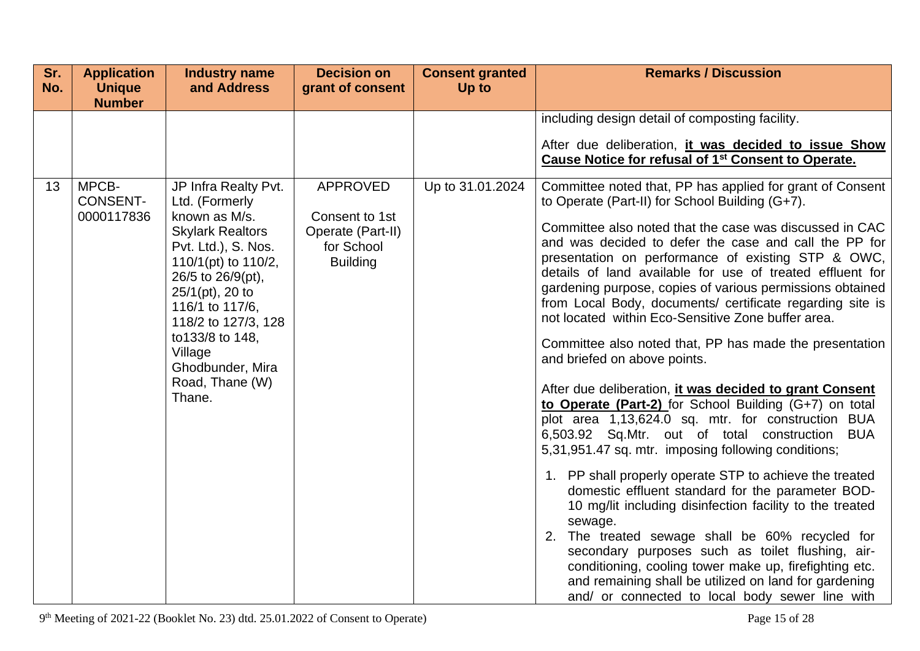| Sr.<br>No. | <b>Application</b><br><b>Unique</b><br><b>Number</b> | <b>Industry name</b><br>and Address                                                                                                                                                                                                                                                                   | <b>Decision on</b><br>grant of consent                                                  | <b>Consent granted</b><br>Up to | <b>Remarks / Discussion</b>                                                                                                                                                                                                                                                                                                                                                                                                                                                                                                                                                                                                                                                                                                                                                                                                                                                                                                                                                                                                                                                                                                                                                                                                                                                                                                                                                                      |
|------------|------------------------------------------------------|-------------------------------------------------------------------------------------------------------------------------------------------------------------------------------------------------------------------------------------------------------------------------------------------------------|-----------------------------------------------------------------------------------------|---------------------------------|--------------------------------------------------------------------------------------------------------------------------------------------------------------------------------------------------------------------------------------------------------------------------------------------------------------------------------------------------------------------------------------------------------------------------------------------------------------------------------------------------------------------------------------------------------------------------------------------------------------------------------------------------------------------------------------------------------------------------------------------------------------------------------------------------------------------------------------------------------------------------------------------------------------------------------------------------------------------------------------------------------------------------------------------------------------------------------------------------------------------------------------------------------------------------------------------------------------------------------------------------------------------------------------------------------------------------------------------------------------------------------------------------|
|            |                                                      |                                                                                                                                                                                                                                                                                                       |                                                                                         |                                 | including design detail of composting facility.<br>After due deliberation, it was decided to issue Show<br>Cause Notice for refusal of 1 <sup>st</sup> Consent to Operate.                                                                                                                                                                                                                                                                                                                                                                                                                                                                                                                                                                                                                                                                                                                                                                                                                                                                                                                                                                                                                                                                                                                                                                                                                       |
| 13         | MPCB-<br><b>CONSENT-</b><br>0000117836               | JP Infra Realty Pvt.<br>Ltd. (Formerly<br>known as M/s.<br><b>Skylark Realtors</b><br>Pvt. Ltd.), S. Nos.<br>110/1(pt) to 110/2,<br>26/5 to 26/9(pt),<br>$25/1$ (pt), 20 to<br>116/1 to 117/6,<br>118/2 to 127/3, 128<br>to 133/8 to 148,<br>Village<br>Ghodbunder, Mira<br>Road, Thane (W)<br>Thane. | <b>APPROVED</b><br>Consent to 1st<br>Operate (Part-II)<br>for School<br><b>Building</b> | Up to 31.01.2024                | Committee noted that, PP has applied for grant of Consent<br>to Operate (Part-II) for School Building (G+7).<br>Committee also noted that the case was discussed in CAC<br>and was decided to defer the case and call the PP for<br>presentation on performance of existing STP & OWC,<br>details of land available for use of treated effluent for<br>gardening purpose, copies of various permissions obtained<br>from Local Body, documents/ certificate regarding site is<br>not located within Eco-Sensitive Zone buffer area.<br>Committee also noted that, PP has made the presentation<br>and briefed on above points.<br>After due deliberation, it was decided to grant Consent<br>to Operate (Part-2) for School Building (G+7) on total<br>plot area 1,13,624.0 sq. mtr. for construction BUA<br>6,503.92 Sq.Mtr. out of total construction<br><b>BUA</b><br>5,31,951.47 sq. mtr. imposing following conditions;<br>1. PP shall properly operate STP to achieve the treated<br>domestic effluent standard for the parameter BOD-<br>10 mg/lit including disinfection facility to the treated<br>sewage.<br>2. The treated sewage shall be 60% recycled for<br>secondary purposes such as toilet flushing, air-<br>conditioning, cooling tower make up, firefighting etc.<br>and remaining shall be utilized on land for gardening<br>and/ or connected to local body sewer line with |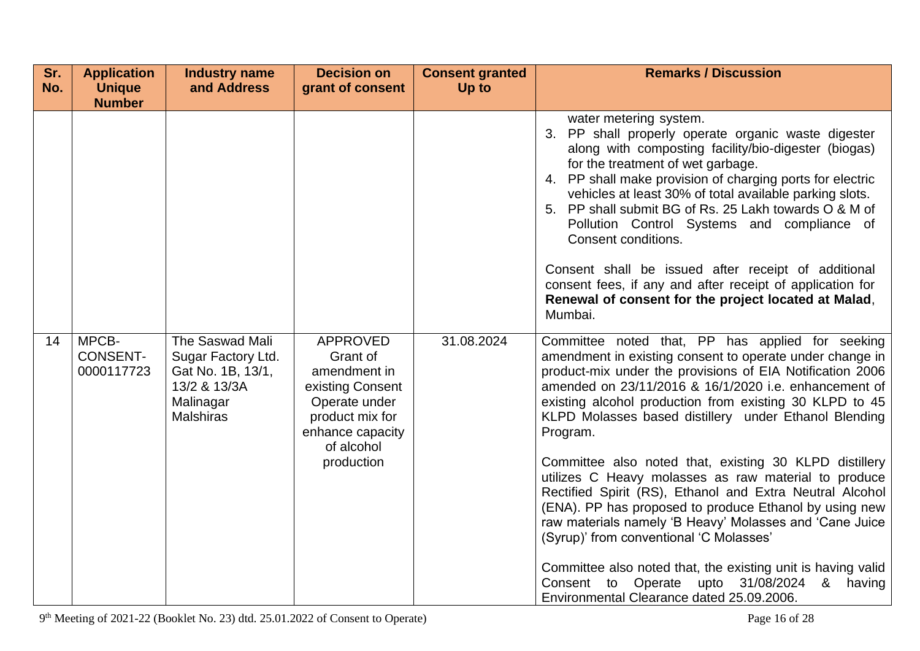| Sr.<br>No. | <b>Application</b><br><b>Unique</b><br><b>Number</b> | <b>Industry name</b><br>and Address                                                                         | <b>Decision on</b><br>grant of consent                                                                                                              | <b>Consent granted</b><br>Up to | <b>Remarks / Discussion</b>                                                                                                                                                                                                                                                                                                                                                                                                                                                                                                                                                                                                                                                                                      |
|------------|------------------------------------------------------|-------------------------------------------------------------------------------------------------------------|-----------------------------------------------------------------------------------------------------------------------------------------------------|---------------------------------|------------------------------------------------------------------------------------------------------------------------------------------------------------------------------------------------------------------------------------------------------------------------------------------------------------------------------------------------------------------------------------------------------------------------------------------------------------------------------------------------------------------------------------------------------------------------------------------------------------------------------------------------------------------------------------------------------------------|
|            |                                                      |                                                                                                             |                                                                                                                                                     |                                 | water metering system.<br>3. PP shall properly operate organic waste digester<br>along with composting facility/bio-digester (biogas)<br>for the treatment of wet garbage.<br>4. PP shall make provision of charging ports for electric<br>vehicles at least 30% of total available parking slots.<br>5. PP shall submit BG of Rs. 25 Lakh towards O & M of<br>Pollution Control Systems and compliance of<br>Consent conditions.<br>Consent shall be issued after receipt of additional<br>consent fees, if any and after receipt of application for                                                                                                                                                            |
|            |                                                      |                                                                                                             |                                                                                                                                                     |                                 | Renewal of consent for the project located at Malad,<br>Mumbai.                                                                                                                                                                                                                                                                                                                                                                                                                                                                                                                                                                                                                                                  |
| 14         | MPCB-<br><b>CONSENT-</b><br>0000117723               | The Saswad Mali<br>Sugar Factory Ltd.<br>Gat No. 1B, 13/1,<br>13/2 & 13/3A<br>Malinagar<br><b>Malshiras</b> | <b>APPROVED</b><br>Grant of<br>amendment in<br>existing Consent<br>Operate under<br>product mix for<br>enhance capacity<br>of alcohol<br>production | 31.08.2024                      | Committee noted that, PP has applied for seeking<br>amendment in existing consent to operate under change in<br>product-mix under the provisions of EIA Notification 2006<br>amended on 23/11/2016 & 16/1/2020 i.e. enhancement of<br>existing alcohol production from existing 30 KLPD to 45<br>KLPD Molasses based distillery under Ethanol Blending<br>Program.<br>Committee also noted that, existing 30 KLPD distillery<br>utilizes C Heavy molasses as raw material to produce<br>Rectified Spirit (RS), Ethanol and Extra Neutral Alcohol<br>(ENA). PP has proposed to produce Ethanol by using new<br>raw materials namely 'B Heavy' Molasses and 'Cane Juice<br>(Syrup)' from conventional 'C Molasses' |
|            |                                                      |                                                                                                             |                                                                                                                                                     |                                 | Committee also noted that, the existing unit is having valid<br>Consent to Operate upto 31/08/2024 &<br>having<br>Environmental Clearance dated 25.09.2006.                                                                                                                                                                                                                                                                                                                                                                                                                                                                                                                                                      |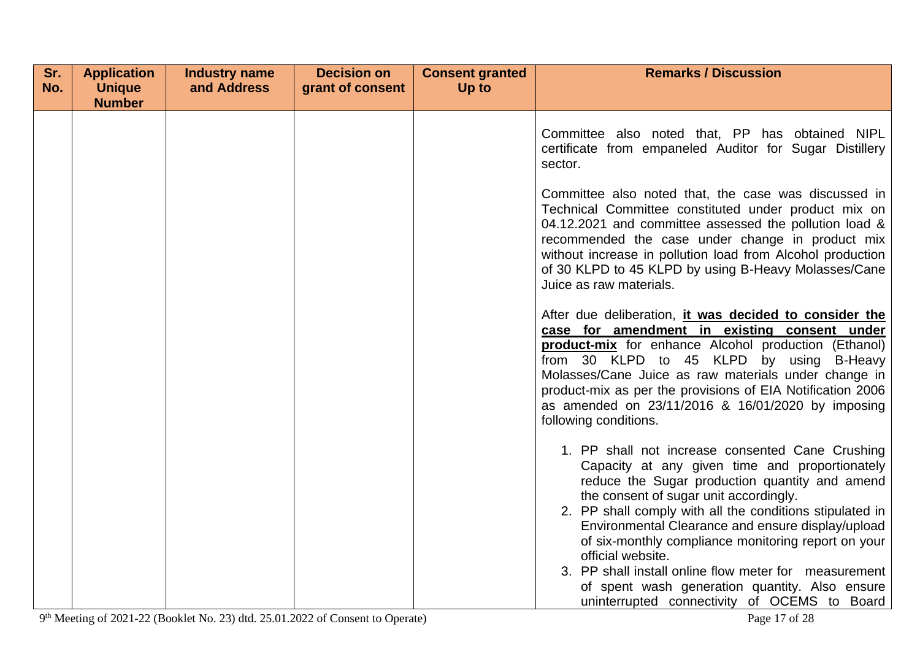| Sr. | <b>Application</b>             | <b>Industry name</b> | <b>Decision on</b> | <b>Consent granted</b> | <b>Remarks / Discussion</b>                                                                                                                                                                                                                                                                                                                                                                                                                                                                                                                            |
|-----|--------------------------------|----------------------|--------------------|------------------------|--------------------------------------------------------------------------------------------------------------------------------------------------------------------------------------------------------------------------------------------------------------------------------------------------------------------------------------------------------------------------------------------------------------------------------------------------------------------------------------------------------------------------------------------------------|
| No. | <b>Unique</b><br><b>Number</b> | and Address          | grant of consent   | Up to                  |                                                                                                                                                                                                                                                                                                                                                                                                                                                                                                                                                        |
|     |                                |                      |                    |                        | Committee also noted that, PP has obtained NIPL<br>certificate from empaneled Auditor for Sugar Distillery<br>sector.                                                                                                                                                                                                                                                                                                                                                                                                                                  |
|     |                                |                      |                    |                        | Committee also noted that, the case was discussed in<br>Technical Committee constituted under product mix on<br>04.12.2021 and committee assessed the pollution load &<br>recommended the case under change in product mix<br>without increase in pollution load from Alcohol production<br>of 30 KLPD to 45 KLPD by using B-Heavy Molasses/Cane<br>Juice as raw materials.                                                                                                                                                                            |
|     |                                |                      |                    |                        | After due deliberation, it was decided to consider the<br>case for amendment in existing consent under<br>product-mix for enhance Alcohol production (Ethanol)<br>from 30 KLPD to 45 KLPD by using B-Heavy<br>Molasses/Cane Juice as raw materials under change in<br>product-mix as per the provisions of EIA Notification 2006<br>as amended on 23/11/2016 & 16/01/2020 by imposing<br>following conditions.                                                                                                                                         |
|     |                                |                      |                    |                        | 1. PP shall not increase consented Cane Crushing<br>Capacity at any given time and proportionately<br>reduce the Sugar production quantity and amend<br>the consent of sugar unit accordingly.<br>2. PP shall comply with all the conditions stipulated in<br>Environmental Clearance and ensure display/upload<br>of six-monthly compliance monitoring report on your<br>official website.<br>3. PP shall install online flow meter for measurement<br>of spent wash generation quantity. Also ensure<br>uninterrupted connectivity of OCEMS to Board |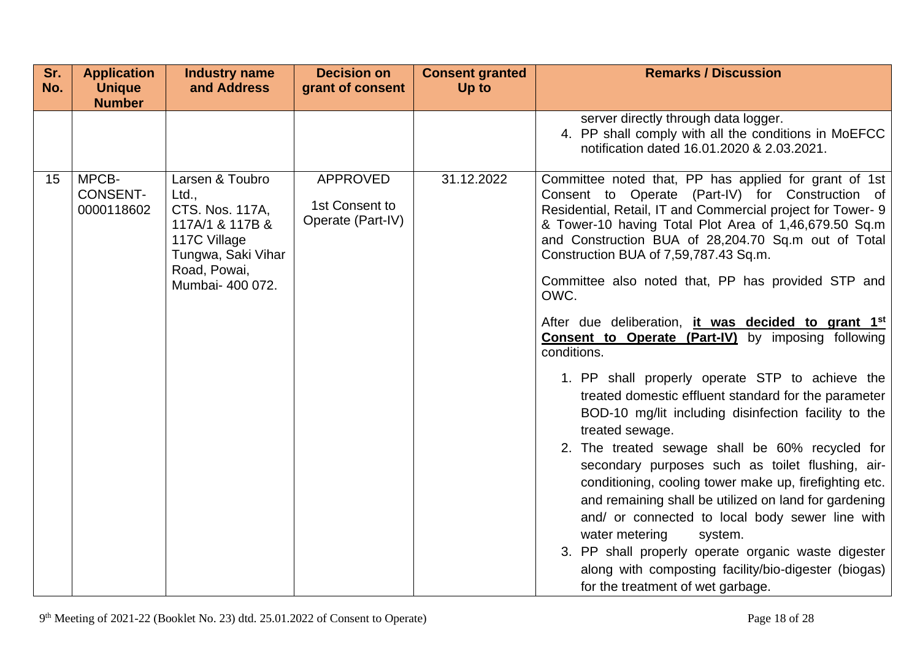| Sr.<br>No. | <b>Application</b><br><b>Unique</b><br><b>Number</b> | <b>Industry name</b><br>and Address                                                                                                      | <b>Decision on</b><br>grant of consent                 | <b>Consent granted</b><br>Up to | <b>Remarks / Discussion</b>                                                                                                                                                                                                                                                                                                                                                                                                                                                                                                                                                                                                                                                                                              |
|------------|------------------------------------------------------|------------------------------------------------------------------------------------------------------------------------------------------|--------------------------------------------------------|---------------------------------|--------------------------------------------------------------------------------------------------------------------------------------------------------------------------------------------------------------------------------------------------------------------------------------------------------------------------------------------------------------------------------------------------------------------------------------------------------------------------------------------------------------------------------------------------------------------------------------------------------------------------------------------------------------------------------------------------------------------------|
|            |                                                      |                                                                                                                                          |                                                        |                                 | server directly through data logger.<br>4. PP shall comply with all the conditions in MoEFCC<br>notification dated 16.01.2020 & 2.03.2021.                                                                                                                                                                                                                                                                                                                                                                                                                                                                                                                                                                               |
| 15         | MPCB-<br><b>CONSENT-</b><br>0000118602               | Larsen & Toubro<br>Ltd.,<br>CTS. Nos. 117A,<br>117A/1 & 117B &<br>117C Village<br>Tungwa, Saki Vihar<br>Road, Powai,<br>Mumbai- 400 072. | <b>APPROVED</b><br>1st Consent to<br>Operate (Part-IV) | 31.12.2022                      | Committee noted that, PP has applied for grant of 1st<br>Consent to Operate (Part-IV) for Construction of<br>Residential, Retail, IT and Commercial project for Tower- 9<br>& Tower-10 having Total Plot Area of 1,46,679.50 Sq.m<br>and Construction BUA of 28,204.70 Sq.m out of Total<br>Construction BUA of 7,59,787.43 Sq.m.<br>Committee also noted that, PP has provided STP and<br>OWC.<br>After due deliberation, it was decided to grant 1st<br><b>Consent to Operate (Part-IV)</b> by imposing following<br>conditions.<br>1. PP shall properly operate STP to achieve the<br>treated domestic effluent standard for the parameter<br>BOD-10 mg/lit including disinfection facility to the<br>treated sewage. |
|            |                                                      |                                                                                                                                          |                                                        |                                 | 2. The treated sewage shall be 60% recycled for<br>secondary purposes such as toilet flushing, air-<br>conditioning, cooling tower make up, firefighting etc.<br>and remaining shall be utilized on land for gardening<br>and/ or connected to local body sewer line with<br>water metering<br>system.<br>3. PP shall properly operate organic waste digester<br>along with composting facility/bio-digester (biogas)<br>for the treatment of wet garbage.                                                                                                                                                                                                                                                               |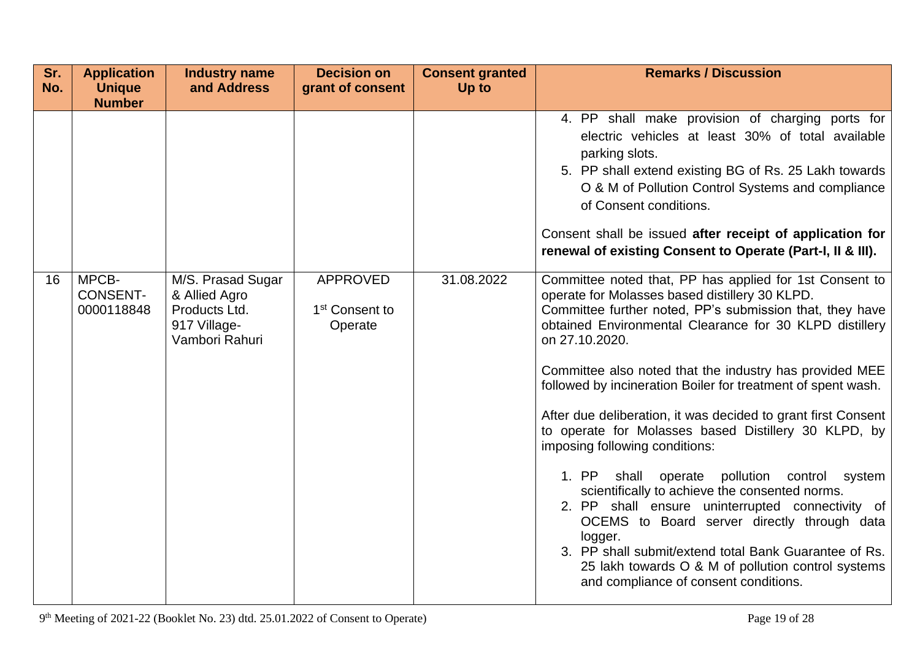| Sr.<br>No. | <b>Application</b><br><b>Unique</b>    | <b>Industry name</b><br>and Address                                                   | <b>Decision on</b><br>grant of consent                   | <b>Consent granted</b><br>Up to | <b>Remarks / Discussion</b>                                                                                                                                                                                                                                                                                                                                                                                                                                                                                                                                                                                                                                                                                                                                                                                                                                                                                         |
|------------|----------------------------------------|---------------------------------------------------------------------------------------|----------------------------------------------------------|---------------------------------|---------------------------------------------------------------------------------------------------------------------------------------------------------------------------------------------------------------------------------------------------------------------------------------------------------------------------------------------------------------------------------------------------------------------------------------------------------------------------------------------------------------------------------------------------------------------------------------------------------------------------------------------------------------------------------------------------------------------------------------------------------------------------------------------------------------------------------------------------------------------------------------------------------------------|
|            | <b>Number</b>                          |                                                                                       |                                                          |                                 |                                                                                                                                                                                                                                                                                                                                                                                                                                                                                                                                                                                                                                                                                                                                                                                                                                                                                                                     |
|            |                                        |                                                                                       |                                                          |                                 | 4. PP shall make provision of charging ports for<br>electric vehicles at least 30% of total available<br>parking slots.<br>5. PP shall extend existing BG of Rs. 25 Lakh towards<br>O & M of Pollution Control Systems and compliance<br>of Consent conditions.<br>Consent shall be issued after receipt of application for<br>renewal of existing Consent to Operate (Part-I, II & III).                                                                                                                                                                                                                                                                                                                                                                                                                                                                                                                           |
| 16         | MPCB-<br><b>CONSENT-</b><br>0000118848 | M/S. Prasad Sugar<br>& Allied Agro<br>Products Ltd.<br>917 Village-<br>Vambori Rahuri | <b>APPROVED</b><br>1 <sup>st</sup> Consent to<br>Operate | 31.08.2022                      | Committee noted that, PP has applied for 1st Consent to<br>operate for Molasses based distillery 30 KLPD.<br>Committee further noted, PP's submission that, they have<br>obtained Environmental Clearance for 30 KLPD distillery<br>on 27.10.2020.<br>Committee also noted that the industry has provided MEE<br>followed by incineration Boiler for treatment of spent wash.<br>After due deliberation, it was decided to grant first Consent<br>to operate for Molasses based Distillery 30 KLPD, by<br>imposing following conditions:<br>1. PP<br>shall operate pollution control system<br>scientifically to achieve the consented norms.<br>2. PP shall ensure uninterrupted connectivity of<br>OCEMS to Board server directly through data<br>logger.<br>3. PP shall submit/extend total Bank Guarantee of Rs.<br>25 lakh towards O & M of pollution control systems<br>and compliance of consent conditions. |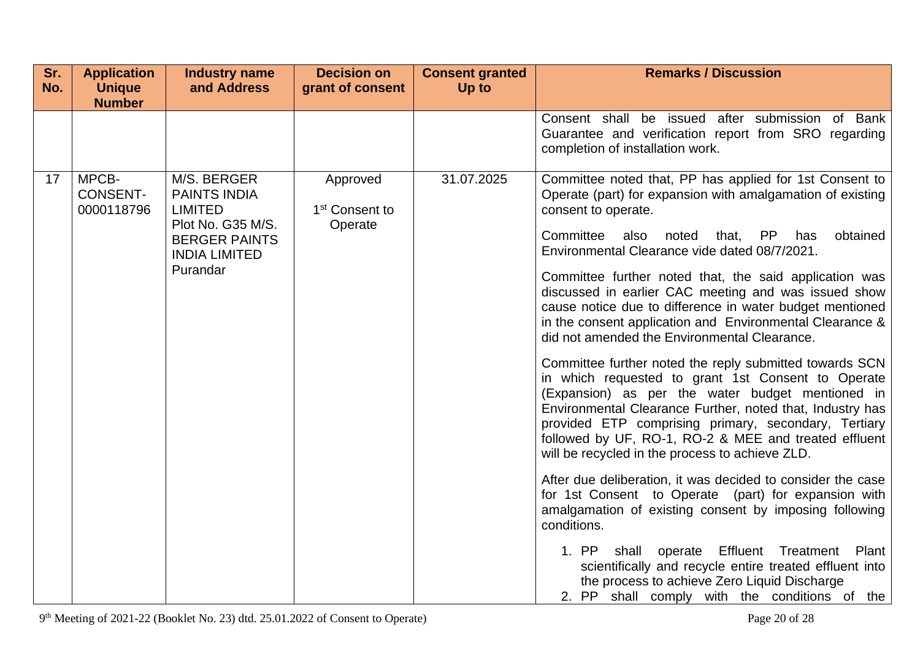| Sr.<br>No. | <b>Application</b><br><b>Unique</b><br><b>Number</b> | <b>Industry name</b><br>and Address                                                                                                   | <b>Decision on</b><br>grant of consent            | <b>Consent granted</b><br>Up to | <b>Remarks / Discussion</b>                                                                                                                                                                                                                                                                                                                                                                                                                                                                                                                                                                                                                                                                                                                                                                                                                                                                                                                                                                                            |
|------------|------------------------------------------------------|---------------------------------------------------------------------------------------------------------------------------------------|---------------------------------------------------|---------------------------------|------------------------------------------------------------------------------------------------------------------------------------------------------------------------------------------------------------------------------------------------------------------------------------------------------------------------------------------------------------------------------------------------------------------------------------------------------------------------------------------------------------------------------------------------------------------------------------------------------------------------------------------------------------------------------------------------------------------------------------------------------------------------------------------------------------------------------------------------------------------------------------------------------------------------------------------------------------------------------------------------------------------------|
|            |                                                      |                                                                                                                                       |                                                   |                                 | Consent shall be issued after submission of Bank<br>Guarantee and verification report from SRO regarding<br>completion of installation work.                                                                                                                                                                                                                                                                                                                                                                                                                                                                                                                                                                                                                                                                                                                                                                                                                                                                           |
| 17         | MPCB-<br><b>CONSENT-</b><br>0000118796               | M/S. BERGER<br><b>PAINTS INDIA</b><br><b>LIMITED</b><br>Plot No. G35 M/S.<br><b>BERGER PAINTS</b><br><b>INDIA LIMITED</b><br>Purandar | Approved<br>1 <sup>st</sup> Consent to<br>Operate | 31.07.2025                      | Committee noted that, PP has applied for 1st Consent to<br>Operate (part) for expansion with amalgamation of existing<br>consent to operate.<br>Committee<br>also<br>noted that, PP<br>has<br>obtained<br>Environmental Clearance vide dated 08/7/2021.<br>Committee further noted that, the said application was<br>discussed in earlier CAC meeting and was issued show<br>cause notice due to difference in water budget mentioned<br>in the consent application and Environmental Clearance &<br>did not amended the Environmental Clearance.<br>Committee further noted the reply submitted towards SCN<br>in which requested to grant 1st Consent to Operate<br>(Expansion) as per the water budget mentioned in<br>Environmental Clearance Further, noted that, Industry has<br>provided ETP comprising primary, secondary, Tertiary<br>followed by UF, RO-1, RO-2 & MEE and treated effluent<br>will be recycled in the process to achieve ZLD.<br>After due deliberation, it was decided to consider the case |
|            |                                                      |                                                                                                                                       |                                                   |                                 | for 1st Consent to Operate (part) for expansion with<br>amalgamation of existing consent by imposing following<br>conditions.                                                                                                                                                                                                                                                                                                                                                                                                                                                                                                                                                                                                                                                                                                                                                                                                                                                                                          |
|            |                                                      |                                                                                                                                       |                                                   |                                 | 1. PP shall operate Effluent Treatment<br>Plant<br>scientifically and recycle entire treated effluent into<br>the process to achieve Zero Liquid Discharge<br>2. PP shall comply with the conditions of the                                                                                                                                                                                                                                                                                                                                                                                                                                                                                                                                                                                                                                                                                                                                                                                                            |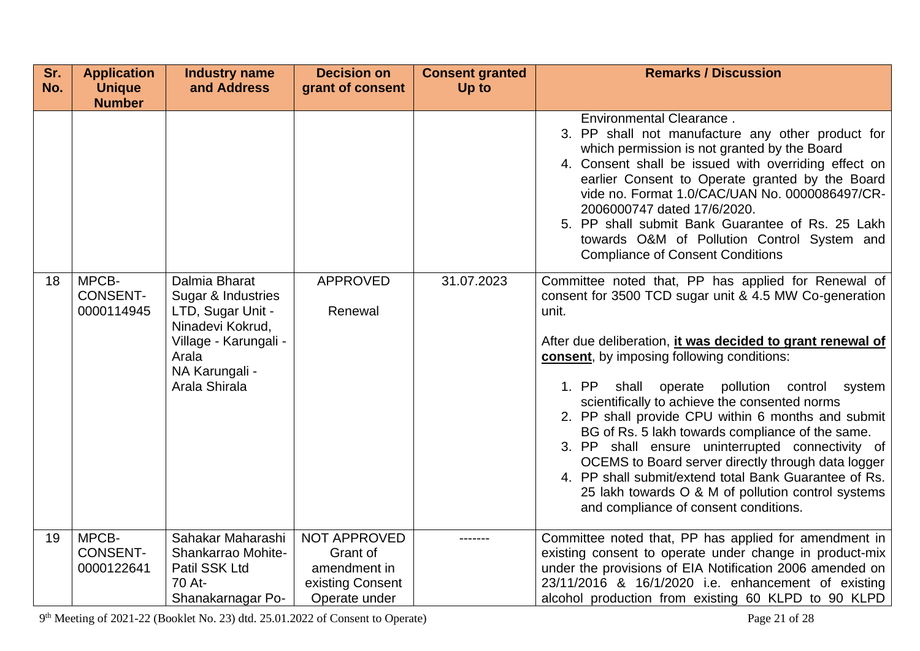| Sr.<br>No. | <b>Application</b><br><b>Unique</b>    | <b>Industry name</b><br>and Address                                                                                                               | <b>Decision on</b><br>grant of consent                                        | <b>Consent granted</b><br>Up to | <b>Remarks / Discussion</b>                                                                                                                                                                                                                                                                                                                                                                                                                                                                                                                                                                                                                                                                                        |
|------------|----------------------------------------|---------------------------------------------------------------------------------------------------------------------------------------------------|-------------------------------------------------------------------------------|---------------------------------|--------------------------------------------------------------------------------------------------------------------------------------------------------------------------------------------------------------------------------------------------------------------------------------------------------------------------------------------------------------------------------------------------------------------------------------------------------------------------------------------------------------------------------------------------------------------------------------------------------------------------------------------------------------------------------------------------------------------|
|            | <b>Number</b>                          |                                                                                                                                                   |                                                                               |                                 |                                                                                                                                                                                                                                                                                                                                                                                                                                                                                                                                                                                                                                                                                                                    |
|            |                                        |                                                                                                                                                   |                                                                               |                                 | Environmental Clearance.<br>3. PP shall not manufacture any other product for<br>which permission is not granted by the Board<br>4. Consent shall be issued with overriding effect on<br>earlier Consent to Operate granted by the Board<br>vide no. Format 1.0/CAC/UAN No. 0000086497/CR-<br>2006000747 dated 17/6/2020.<br>5. PP shall submit Bank Guarantee of Rs. 25 Lakh<br>towards O&M of Pollution Control System and<br><b>Compliance of Consent Conditions</b>                                                                                                                                                                                                                                            |
| 18         | MPCB-<br><b>CONSENT-</b><br>0000114945 | Dalmia Bharat<br>Sugar & Industries<br>LTD, Sugar Unit -<br>Ninadevi Kokrud,<br>Village - Karungali -<br>Arala<br>NA Karungali -<br>Arala Shirala | <b>APPROVED</b><br>Renewal                                                    | 31.07.2023                      | Committee noted that, PP has applied for Renewal of<br>consent for 3500 TCD sugar unit & 4.5 MW Co-generation<br>unit.<br>After due deliberation, it was decided to grant renewal of<br>consent, by imposing following conditions:<br>1. PP<br>shall operate pollution control system<br>scientifically to achieve the consented norms<br>2. PP shall provide CPU within 6 months and submit<br>BG of Rs. 5 lakh towards compliance of the same.<br>3. PP shall ensure uninterrupted connectivity of<br>OCEMS to Board server directly through data logger<br>4. PP shall submit/extend total Bank Guarantee of Rs.<br>25 lakh towards O & M of pollution control systems<br>and compliance of consent conditions. |
| 19         | MPCB-<br><b>CONSENT-</b><br>0000122641 | Sahakar Maharashi<br>Shankarrao Mohite-<br>Patil SSK Ltd<br>70 At-<br>Shanakarnagar Po-                                                           | NOT APPROVED<br>Grant of<br>amendment in<br>existing Consent<br>Operate under |                                 | Committee noted that, PP has applied for amendment in<br>existing consent to operate under change in product-mix<br>under the provisions of EIA Notification 2006 amended on<br>23/11/2016 & 16/1/2020 i.e. enhancement of existing<br>alcohol production from existing 60 KLPD to 90 KLPD                                                                                                                                                                                                                                                                                                                                                                                                                         |

9<sup>th</sup> Meeting of 2021-22 (Booklet No. 23) dtd. 25.01.2022 of Consent to Operate) Page 21 of 28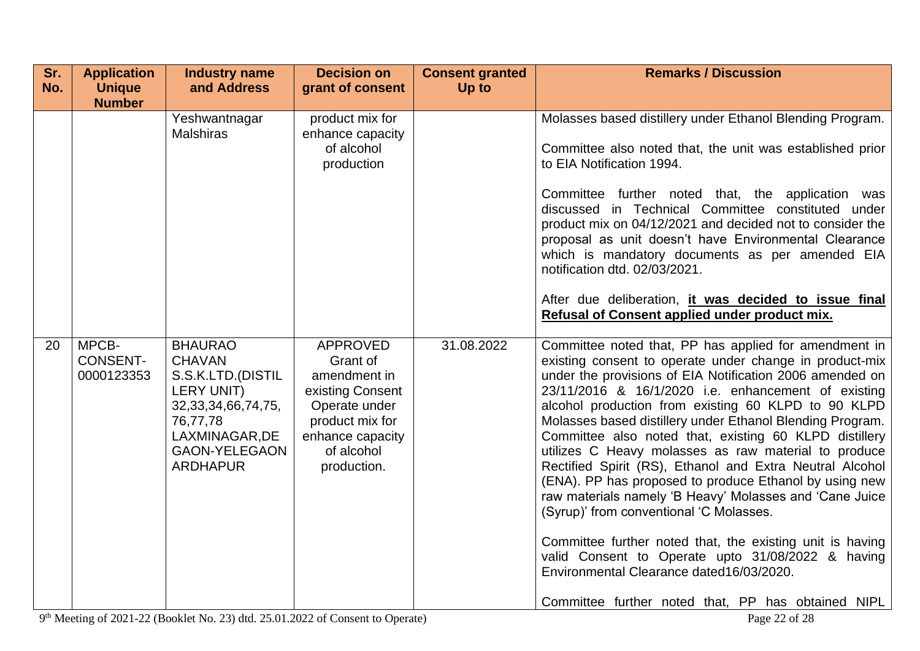| Sr.<br>No. | <b>Application</b><br><b>Unique</b>    | <b>Industry name</b><br>and Address                                                                                                                                           | <b>Decision on</b><br>grant of consent                                                                                                               | <b>Consent granted</b><br>Up to | <b>Remarks / Discussion</b>                                                                                                                                                                                                                                                                                                                                                                                                                                                                                                                                                                                                                                                                                                                                                                                                                                                                                               |
|------------|----------------------------------------|-------------------------------------------------------------------------------------------------------------------------------------------------------------------------------|------------------------------------------------------------------------------------------------------------------------------------------------------|---------------------------------|---------------------------------------------------------------------------------------------------------------------------------------------------------------------------------------------------------------------------------------------------------------------------------------------------------------------------------------------------------------------------------------------------------------------------------------------------------------------------------------------------------------------------------------------------------------------------------------------------------------------------------------------------------------------------------------------------------------------------------------------------------------------------------------------------------------------------------------------------------------------------------------------------------------------------|
|            | <b>Number</b>                          |                                                                                                                                                                               |                                                                                                                                                      |                                 |                                                                                                                                                                                                                                                                                                                                                                                                                                                                                                                                                                                                                                                                                                                                                                                                                                                                                                                           |
|            |                                        | Yeshwantnagar<br><b>Malshiras</b>                                                                                                                                             | product mix for<br>enhance capacity<br>of alcohol<br>production                                                                                      |                                 | Molasses based distillery under Ethanol Blending Program.<br>Committee also noted that, the unit was established prior<br>to EIA Notification 1994.<br>Committee further noted that, the application was<br>discussed in Technical Committee constituted under<br>product mix on 04/12/2021 and decided not to consider the<br>proposal as unit doesn't have Environmental Clearance<br>which is mandatory documents as per amended EIA                                                                                                                                                                                                                                                                                                                                                                                                                                                                                   |
|            |                                        |                                                                                                                                                                               |                                                                                                                                                      |                                 | notification dtd. 02/03/2021.<br>After due deliberation, it was decided to issue final<br>Refusal of Consent applied under product mix.                                                                                                                                                                                                                                                                                                                                                                                                                                                                                                                                                                                                                                                                                                                                                                                   |
| 20         | MPCB-<br><b>CONSENT-</b><br>0000123353 | <b>BHAURAO</b><br><b>CHAVAN</b><br>S.S.K.LTD.(DISTIL<br><b>LERY UNIT)</b><br>32, 33, 34, 66, 74, 75,<br>76,77,78<br>LAXMINAGAR, DE<br><b>GAON-YELEGAON</b><br><b>ARDHAPUR</b> | <b>APPROVED</b><br>Grant of<br>amendment in<br>existing Consent<br>Operate under<br>product mix for<br>enhance capacity<br>of alcohol<br>production. | 31.08.2022                      | Committee noted that, PP has applied for amendment in<br>existing consent to operate under change in product-mix<br>under the provisions of EIA Notification 2006 amended on<br>23/11/2016 & 16/1/2020 i.e. enhancement of existing<br>alcohol production from existing 60 KLPD to 90 KLPD<br>Molasses based distillery under Ethanol Blending Program.<br>Committee also noted that, existing 60 KLPD distillery<br>utilizes C Heavy molasses as raw material to produce<br>Rectified Spirit (RS), Ethanol and Extra Neutral Alcohol<br>(ENA). PP has proposed to produce Ethanol by using new<br>raw materials namely 'B Heavy' Molasses and 'Cane Juice<br>(Syrup)' from conventional 'C Molasses.<br>Committee further noted that, the existing unit is having<br>valid Consent to Operate upto 31/08/2022 & having<br>Environmental Clearance dated16/03/2020.<br>Committee further noted that, PP has obtained NIPL |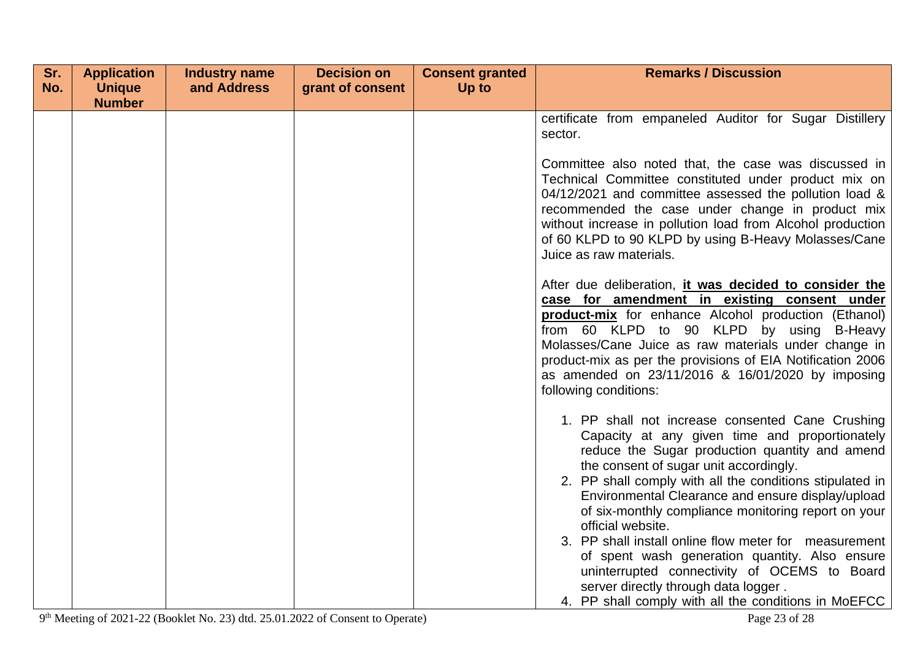| Sr. | <b>Application</b> | <b>Industry name</b> | <b>Decision on</b> | <b>Consent granted</b> | <b>Remarks / Discussion</b>                                                                                                                                                                                                                                                                                                                                                                                                                                                                                                                                                                    |
|-----|--------------------|----------------------|--------------------|------------------------|------------------------------------------------------------------------------------------------------------------------------------------------------------------------------------------------------------------------------------------------------------------------------------------------------------------------------------------------------------------------------------------------------------------------------------------------------------------------------------------------------------------------------------------------------------------------------------------------|
| No. | <b>Unique</b>      | and Address          | grant of consent   | Up to                  |                                                                                                                                                                                                                                                                                                                                                                                                                                                                                                                                                                                                |
|     | <b>Number</b>      |                      |                    |                        |                                                                                                                                                                                                                                                                                                                                                                                                                                                                                                                                                                                                |
|     |                    |                      |                    |                        | certificate from empaneled Auditor for Sugar Distillery                                                                                                                                                                                                                                                                                                                                                                                                                                                                                                                                        |
|     |                    |                      |                    |                        | sector.                                                                                                                                                                                                                                                                                                                                                                                                                                                                                                                                                                                        |
|     |                    |                      |                    |                        | Committee also noted that, the case was discussed in<br>Technical Committee constituted under product mix on<br>04/12/2021 and committee assessed the pollution load &<br>recommended the case under change in product mix<br>without increase in pollution load from Alcohol production<br>of 60 KLPD to 90 KLPD by using B-Heavy Molasses/Cane<br>Juice as raw materials.                                                                                                                                                                                                                    |
|     |                    |                      |                    |                        | After due deliberation, it was decided to consider the<br>case for amendment in existing consent under<br>product-mix for enhance Alcohol production (Ethanol)<br>from 60 KLPD to 90 KLPD by using<br>B-Heavy<br>Molasses/Cane Juice as raw materials under change in<br>product-mix as per the provisions of EIA Notification 2006<br>as amended on 23/11/2016 & 16/01/2020 by imposing<br>following conditions:                                                                                                                                                                              |
|     |                    |                      |                    |                        | 1. PP shall not increase consented Cane Crushing<br>Capacity at any given time and proportionately<br>reduce the Sugar production quantity and amend<br>the consent of sugar unit accordingly.<br>2. PP shall comply with all the conditions stipulated in<br>Environmental Clearance and ensure display/upload<br>of six-monthly compliance monitoring report on your<br>official website.<br>3. PP shall install online flow meter for measurement<br>of spent wash generation quantity. Also ensure<br>uninterrupted connectivity of OCEMS to Board<br>server directly through data logger. |
|     |                    |                      |                    |                        | 4. PP shall comply with all the conditions in MoEFCC                                                                                                                                                                                                                                                                                                                                                                                                                                                                                                                                           |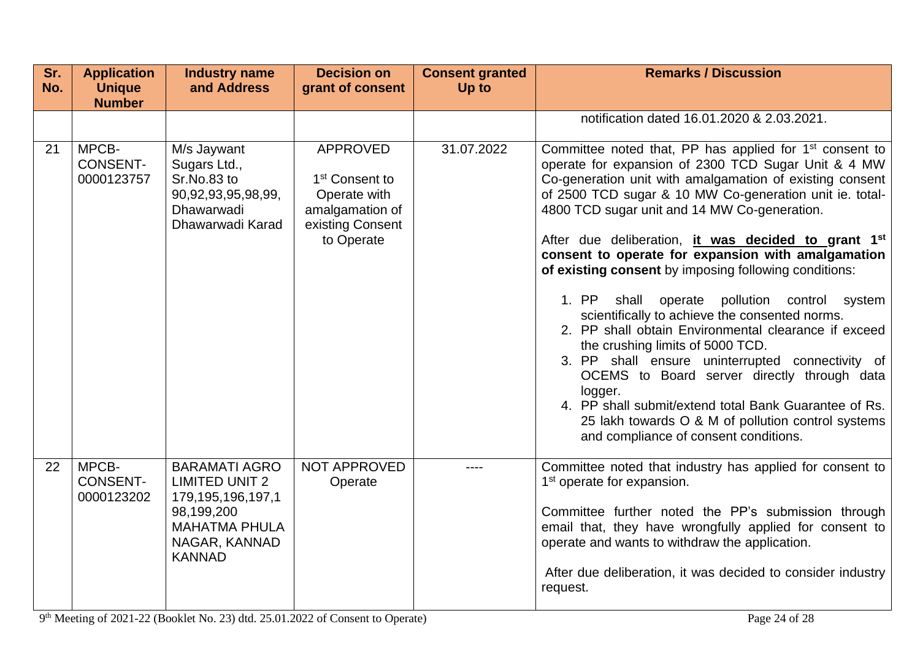| Sr.<br>No. | <b>Application</b><br><b>Unique</b>    | <b>Industry name</b><br>and Address                                                                                                        | <b>Decision on</b><br>grant of consent                                                                             | <b>Consent granted</b><br>Up to | <b>Remarks / Discussion</b>                                                                                                                                                                                                                                                                                                                                                                                                                                                                                                                                                                                                                                                                                                                                                                                                                                                                                                                                         |
|------------|----------------------------------------|--------------------------------------------------------------------------------------------------------------------------------------------|--------------------------------------------------------------------------------------------------------------------|---------------------------------|---------------------------------------------------------------------------------------------------------------------------------------------------------------------------------------------------------------------------------------------------------------------------------------------------------------------------------------------------------------------------------------------------------------------------------------------------------------------------------------------------------------------------------------------------------------------------------------------------------------------------------------------------------------------------------------------------------------------------------------------------------------------------------------------------------------------------------------------------------------------------------------------------------------------------------------------------------------------|
|            | <b>Number</b>                          |                                                                                                                                            |                                                                                                                    |                                 |                                                                                                                                                                                                                                                                                                                                                                                                                                                                                                                                                                                                                                                                                                                                                                                                                                                                                                                                                                     |
|            |                                        |                                                                                                                                            |                                                                                                                    |                                 | notification dated 16.01.2020 & 2.03.2021.                                                                                                                                                                                                                                                                                                                                                                                                                                                                                                                                                                                                                                                                                                                                                                                                                                                                                                                          |
| 21         | MPCB-<br><b>CONSENT-</b><br>0000123757 | M/s Jaywant<br>Sugars Ltd.,<br>Sr.No.83 to<br>90,92,93,95,98,99,<br>Dhawarwadi<br>Dhawarwadi Karad                                         | <b>APPROVED</b><br>1 <sup>st</sup> Consent to<br>Operate with<br>amalgamation of<br>existing Consent<br>to Operate | 31.07.2022                      | Committee noted that, PP has applied for 1 <sup>st</sup> consent to<br>operate for expansion of 2300 TCD Sugar Unit & 4 MW<br>Co-generation unit with amalgamation of existing consent<br>of 2500 TCD sugar & 10 MW Co-generation unit ie. total-<br>4800 TCD sugar unit and 14 MW Co-generation.<br>After due deliberation, it was decided to grant 1 <sup>st</sup><br>consent to operate for expansion with amalgamation<br>of existing consent by imposing following conditions:<br>1. PP<br>shall<br>pollution control<br>operate<br>system<br>scientifically to achieve the consented norms.<br>2. PP shall obtain Environmental clearance if exceed<br>the crushing limits of 5000 TCD.<br>3. PP shall ensure uninterrupted connectivity of<br>OCEMS to Board server directly through data<br>logger.<br>4. PP shall submit/extend total Bank Guarantee of Rs.<br>25 lakh towards O & M of pollution control systems<br>and compliance of consent conditions. |
| 22         | MPCB-<br><b>CONSENT-</b><br>0000123202 | <b>BARAMATI AGRO</b><br><b>LIMITED UNIT 2</b><br>179,195,196,197,1<br>98,199,200<br><b>MAHATMA PHULA</b><br>NAGAR, KANNAD<br><b>KANNAD</b> | NOT APPROVED<br>Operate                                                                                            | ----                            | Committee noted that industry has applied for consent to<br>1 <sup>st</sup> operate for expansion.<br>Committee further noted the PP's submission through<br>email that, they have wrongfully applied for consent to<br>operate and wants to withdraw the application.<br>After due deliberation, it was decided to consider industry<br>request.                                                                                                                                                                                                                                                                                                                                                                                                                                                                                                                                                                                                                   |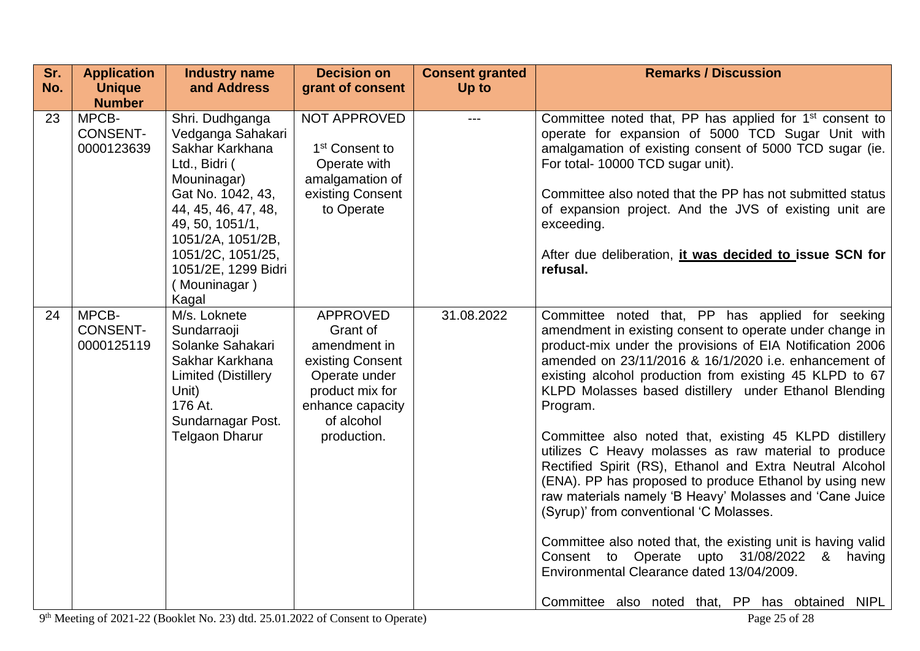| Sr. | <b>Application</b>                     | <b>Industry name</b>                                                                                                                                                                                                                    | <b>Decision on</b>                                                                                                                                   | <b>Consent granted</b> | <b>Remarks / Discussion</b>                                                                                                                                                                                                                                                                                                                                                                                                                                                                                                                                                                                                                                                                                                                                                                                                                                                                                                                      |
|-----|----------------------------------------|-----------------------------------------------------------------------------------------------------------------------------------------------------------------------------------------------------------------------------------------|------------------------------------------------------------------------------------------------------------------------------------------------------|------------------------|--------------------------------------------------------------------------------------------------------------------------------------------------------------------------------------------------------------------------------------------------------------------------------------------------------------------------------------------------------------------------------------------------------------------------------------------------------------------------------------------------------------------------------------------------------------------------------------------------------------------------------------------------------------------------------------------------------------------------------------------------------------------------------------------------------------------------------------------------------------------------------------------------------------------------------------------------|
| No. | <b>Unique</b>                          | and Address                                                                                                                                                                                                                             | grant of consent                                                                                                                                     | Up to                  |                                                                                                                                                                                                                                                                                                                                                                                                                                                                                                                                                                                                                                                                                                                                                                                                                                                                                                                                                  |
|     | <b>Number</b>                          |                                                                                                                                                                                                                                         |                                                                                                                                                      |                        |                                                                                                                                                                                                                                                                                                                                                                                                                                                                                                                                                                                                                                                                                                                                                                                                                                                                                                                                                  |
| 23  | MPCB-<br><b>CONSENT-</b><br>0000123639 | Shri. Dudhganga<br>Vedganga Sahakari<br>Sakhar Karkhana<br>Ltd., Bidri (<br>Mouninagar)<br>Gat No. 1042, 43,<br>44, 45, 46, 47, 48,<br>49, 50, 1051/1,<br>1051/2A, 1051/2B,<br>1051/2C, 1051/25,<br>1051/2E, 1299 Bidri<br>(Mouninagar) | NOT APPROVED<br>1 <sup>st</sup> Consent to<br>Operate with<br>amalgamation of<br>existing Consent<br>to Operate                                      | ---                    | Committee noted that, PP has applied for 1 <sup>st</sup> consent to<br>operate for expansion of 5000 TCD Sugar Unit with<br>amalgamation of existing consent of 5000 TCD sugar (ie.<br>For total- 10000 TCD sugar unit).<br>Committee also noted that the PP has not submitted status<br>of expansion project. And the JVS of existing unit are<br>exceeding.<br>After due deliberation, it was decided to issue SCN for<br>refusal.                                                                                                                                                                                                                                                                                                                                                                                                                                                                                                             |
| 24  | MPCB-<br><b>CONSENT-</b><br>0000125119 | Kagal<br>M/s. Loknete<br>Sundarraoji<br>Solanke Sahakari<br>Sakhar Karkhana<br><b>Limited (Distillery</b><br>Unit)<br>176 At.<br>Sundarnagar Post.<br><b>Telgaon Dharur</b>                                                             | <b>APPROVED</b><br>Grant of<br>amendment in<br>existing Consent<br>Operate under<br>product mix for<br>enhance capacity<br>of alcohol<br>production. | 31.08.2022             | Committee noted that, PP has applied for seeking<br>amendment in existing consent to operate under change in<br>product-mix under the provisions of EIA Notification 2006<br>amended on 23/11/2016 & 16/1/2020 i.e. enhancement of<br>existing alcohol production from existing 45 KLPD to 67<br>KLPD Molasses based distillery under Ethanol Blending<br>Program.<br>Committee also noted that, existing 45 KLPD distillery<br>utilizes C Heavy molasses as raw material to produce<br>Rectified Spirit (RS), Ethanol and Extra Neutral Alcohol<br>(ENA). PP has proposed to produce Ethanol by using new<br>raw materials namely 'B Heavy' Molasses and 'Cane Juice<br>(Syrup)' from conventional 'C Molasses.<br>Committee also noted that, the existing unit is having valid<br>Consent to Operate upto 31/08/2022<br><u>&amp;</u><br>having<br>Environmental Clearance dated 13/04/2009.<br>Committee also noted that, PP has obtained NIPL |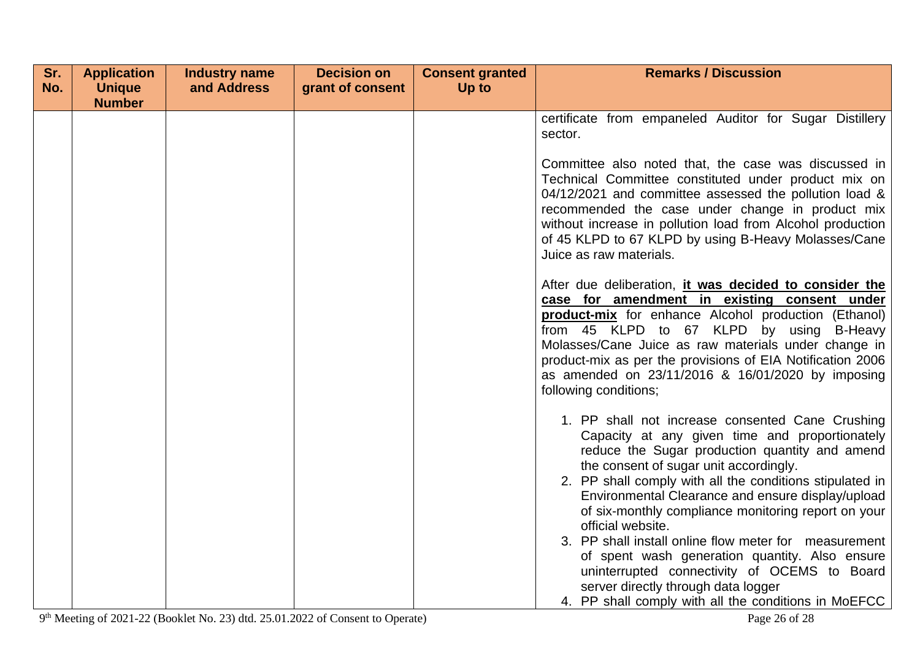| Sr. | <b>Application</b> | <b>Industry name</b> | <b>Decision on</b> | <b>Consent granted</b> | <b>Remarks / Discussion</b>                                                                                                                                                                                                                                                                                                                                                                                                                                                                                                                                                                   |
|-----|--------------------|----------------------|--------------------|------------------------|-----------------------------------------------------------------------------------------------------------------------------------------------------------------------------------------------------------------------------------------------------------------------------------------------------------------------------------------------------------------------------------------------------------------------------------------------------------------------------------------------------------------------------------------------------------------------------------------------|
| No. | <b>Unique</b>      | and Address          | grant of consent   | Up to                  |                                                                                                                                                                                                                                                                                                                                                                                                                                                                                                                                                                                               |
|     | <b>Number</b>      |                      |                    |                        |                                                                                                                                                                                                                                                                                                                                                                                                                                                                                                                                                                                               |
|     |                    |                      |                    |                        | certificate from empaneled Auditor for Sugar Distillery                                                                                                                                                                                                                                                                                                                                                                                                                                                                                                                                       |
|     |                    |                      |                    |                        | sector.                                                                                                                                                                                                                                                                                                                                                                                                                                                                                                                                                                                       |
|     |                    |                      |                    |                        | Committee also noted that, the case was discussed in<br>Technical Committee constituted under product mix on<br>04/12/2021 and committee assessed the pollution load &<br>recommended the case under change in product mix<br>without increase in pollution load from Alcohol production<br>of 45 KLPD to 67 KLPD by using B-Heavy Molasses/Cane<br>Juice as raw materials.                                                                                                                                                                                                                   |
|     |                    |                      |                    |                        | After due deliberation, it was decided to consider the<br>case for amendment in existing consent under<br>product-mix for enhance Alcohol production (Ethanol)<br>from 45 KLPD to 67 KLPD by using<br><b>B-Heavy</b><br>Molasses/Cane Juice as raw materials under change in<br>product-mix as per the provisions of EIA Notification 2006<br>as amended on 23/11/2016 & 16/01/2020 by imposing<br>following conditions;                                                                                                                                                                      |
|     |                    |                      |                    |                        | 1. PP shall not increase consented Cane Crushing<br>Capacity at any given time and proportionately<br>reduce the Sugar production quantity and amend<br>the consent of sugar unit accordingly.<br>2. PP shall comply with all the conditions stipulated in<br>Environmental Clearance and ensure display/upload<br>of six-monthly compliance monitoring report on your<br>official website.<br>3. PP shall install online flow meter for measurement<br>of spent wash generation quantity. Also ensure<br>uninterrupted connectivity of OCEMS to Board<br>server directly through data logger |
|     |                    |                      |                    |                        | 4. PP shall comply with all the conditions in MoEFCC                                                                                                                                                                                                                                                                                                                                                                                                                                                                                                                                          |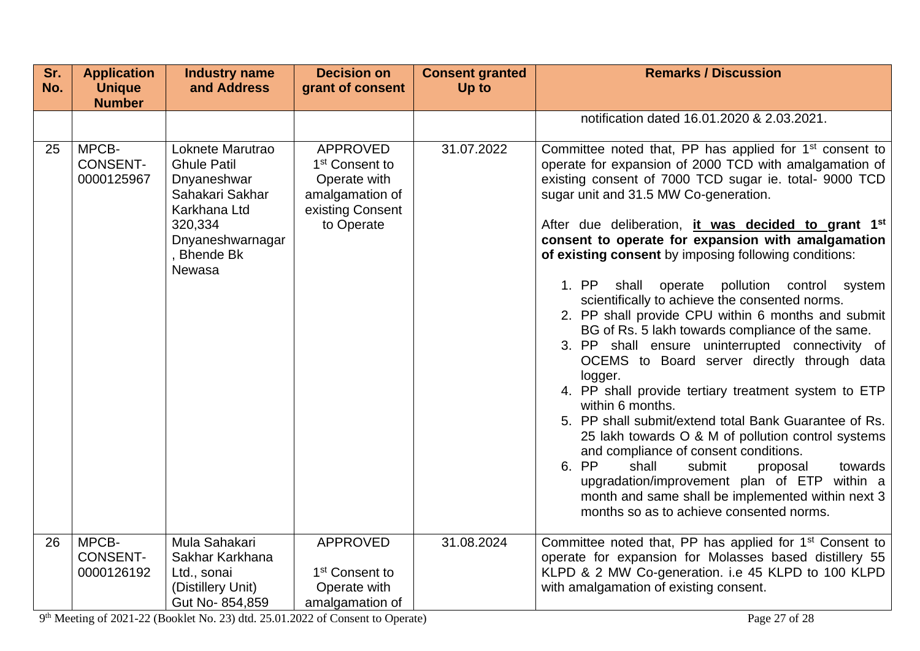| Sr.<br>No. | <b>Application</b><br><b>Unique</b>    | <b>Industry name</b><br>and Address                                                                                                              | <b>Decision on</b><br>grant of consent                                                                             | <b>Consent granted</b><br>Up to | <b>Remarks / Discussion</b>                                                                                                                                                                                                                                                                                                                                                                                                                                                                                                                                                                                                                                                                                                                                                                                                                                                                                                                                                                                                                                                                                                                                                                |
|------------|----------------------------------------|--------------------------------------------------------------------------------------------------------------------------------------------------|--------------------------------------------------------------------------------------------------------------------|---------------------------------|--------------------------------------------------------------------------------------------------------------------------------------------------------------------------------------------------------------------------------------------------------------------------------------------------------------------------------------------------------------------------------------------------------------------------------------------------------------------------------------------------------------------------------------------------------------------------------------------------------------------------------------------------------------------------------------------------------------------------------------------------------------------------------------------------------------------------------------------------------------------------------------------------------------------------------------------------------------------------------------------------------------------------------------------------------------------------------------------------------------------------------------------------------------------------------------------|
|            | <b>Number</b>                          |                                                                                                                                                  |                                                                                                                    |                                 |                                                                                                                                                                                                                                                                                                                                                                                                                                                                                                                                                                                                                                                                                                                                                                                                                                                                                                                                                                                                                                                                                                                                                                                            |
|            |                                        |                                                                                                                                                  |                                                                                                                    |                                 | notification dated 16.01.2020 & 2.03.2021.                                                                                                                                                                                                                                                                                                                                                                                                                                                                                                                                                                                                                                                                                                                                                                                                                                                                                                                                                                                                                                                                                                                                                 |
| 25         | MPCB-<br><b>CONSENT-</b><br>0000125967 | Loknete Marutrao<br><b>Ghule Patil</b><br>Dnyaneshwar<br>Sahakari Sakhar<br>Karkhana Ltd<br>320,334<br>Dnyaneshwarnagar<br>, Bhende Bk<br>Newasa | <b>APPROVED</b><br>1 <sup>st</sup> Consent to<br>Operate with<br>amalgamation of<br>existing Consent<br>to Operate | 31.07.2022                      | Committee noted that, PP has applied for 1 <sup>st</sup> consent to<br>operate for expansion of 2000 TCD with amalgamation of<br>existing consent of 7000 TCD sugar ie. total- 9000 TCD<br>sugar unit and 31.5 MW Co-generation.<br>After due deliberation, it was decided to grant 1 <sup>st</sup><br>consent to operate for expansion with amalgamation<br>of existing consent by imposing following conditions:<br>1. PP<br>shall operate<br>pollution control system<br>scientifically to achieve the consented norms.<br>2. PP shall provide CPU within 6 months and submit<br>BG of Rs. 5 lakh towards compliance of the same.<br>3. PP shall ensure uninterrupted connectivity of<br>OCEMS to Board server directly through data<br>logger.<br>4. PP shall provide tertiary treatment system to ETP<br>within 6 months.<br>5. PP shall submit/extend total Bank Guarantee of Rs.<br>25 lakh towards O & M of pollution control systems<br>and compliance of consent conditions.<br>6. PP<br>shall<br>submit<br>towards<br>proposal<br>upgradation/improvement plan of ETP within a<br>month and same shall be implemented within next 3<br>months so as to achieve consented norms. |
| 26         | MPCB-<br><b>CONSENT-</b><br>0000126192 | Mula Sahakari<br>Sakhar Karkhana<br>Ltd., sonai<br>(Distillery Unit)                                                                             | <b>APPROVED</b><br>1 <sup>st</sup> Consent to<br>Operate with                                                      | 31.08.2024                      | Committee noted that, PP has applied for 1 <sup>st</sup> Consent to<br>operate for expansion for Molasses based distillery 55<br>KLPD & 2 MW Co-generation. i.e 45 KLPD to 100 KLPD<br>with amalgamation of existing consent.                                                                                                                                                                                                                                                                                                                                                                                                                                                                                                                                                                                                                                                                                                                                                                                                                                                                                                                                                              |
|            |                                        | Gut No-854,859                                                                                                                                   | amalgamation of                                                                                                    |                                 |                                                                                                                                                                                                                                                                                                                                                                                                                                                                                                                                                                                                                                                                                                                                                                                                                                                                                                                                                                                                                                                                                                                                                                                            |

9<sup>th</sup> Meeting of 2021-22 (Booklet No. 23) dtd. 25.01.2022 of Consent to Operate) Page 27 of 28